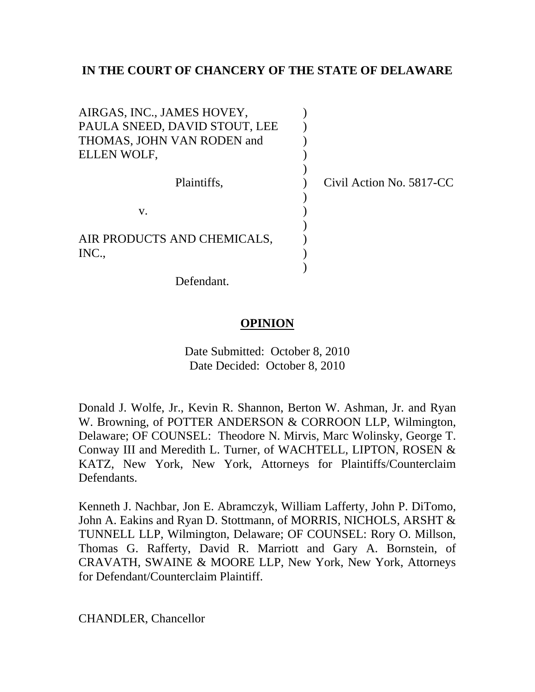## **IN THE COURT OF CHANCERY OF THE STATE OF DELAWARE**

| AIRGAS, INC., JAMES HOVEY,    |                          |
|-------------------------------|--------------------------|
| PAULA SNEED, DAVID STOUT, LEE |                          |
| THOMAS, JOHN VAN RODEN and    |                          |
| ELLEN WOLF,                   |                          |
|                               |                          |
| Plaintiffs,                   | Civil Action No. 5817-CC |
|                               |                          |
| V.                            |                          |
|                               |                          |
| AIR PRODUCTS AND CHEMICALS,   |                          |
| INC.                          |                          |
|                               |                          |

Defendant.

# **OPINION**

Date Submitted: October 8, 2010 Date Decided: October 8, 2010

Donald J. Wolfe, Jr., Kevin R. Shannon, Berton W. Ashman, Jr. and Ryan W. Browning, of POTTER ANDERSON & CORROON LLP, Wilmington, Delaware; OF COUNSEL: Theodore N. Mirvis, Marc Wolinsky, George T. Conway III and Meredith L. Turner, of WACHTELL, LIPTON, ROSEN & KATZ, New York, New York, Attorneys for Plaintiffs/Counterclaim Defendants.

Kenneth J. Nachbar, Jon E. Abramczyk, William Lafferty, John P. DiTomo, John A. Eakins and Ryan D. Stottmann, of MORRIS, NICHOLS, ARSHT & TUNNELL LLP, Wilmington, Delaware; OF COUNSEL: Rory O. Millson, Thomas G. Rafferty, David R. Marriott and Gary A. Bornstein, of CRAVATH, SWAINE & MOORE LLP, New York, New York, Attorneys for Defendant/Counterclaim Plaintiff.

CHANDLER, Chancellor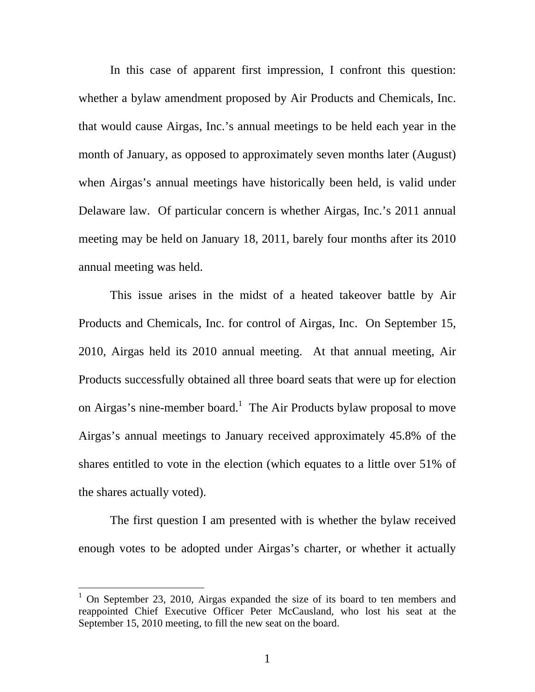In this case of apparent first impression, I confront this question: whether a bylaw amendment proposed by Air Products and Chemicals, Inc. that would cause Airgas, Inc.'s annual meetings to be held each year in the month of January, as opposed to approximately seven months later (August) when Airgas's annual meetings have historically been held, is valid under Delaware law. Of particular concern is whether Airgas, Inc.'s 2011 annual meeting may be held on January 18, 2011, barely four months after its 2010 annual meeting was held.

This issue arises in the midst of a heated takeover battle by Air Products and Chemicals, Inc. for control of Airgas, Inc. On September 15, 2010, Airgas held its 2010 annual meeting. At that annual meeting, Air Products successfully obtained all three board seats that were up for election on Airgas's nine-member board.<sup>1</sup> The Air Products bylaw proposal to move Airgas's annual meetings to January received approximately 45.8% of the shares entitled to vote in the election (which equates to a little over 51% of the shares actually voted).

The first question I am presented with is whether the bylaw received enough votes to be adopted under Airgas's charter, or whether it actually

<sup>&</sup>lt;sup>1</sup> On September 23, 2010, Airgas expanded the size of its board to ten members and reappointed Chief Executive Officer Peter McCausland, who lost his seat at the September 15, 2010 meeting, to fill the new seat on the board.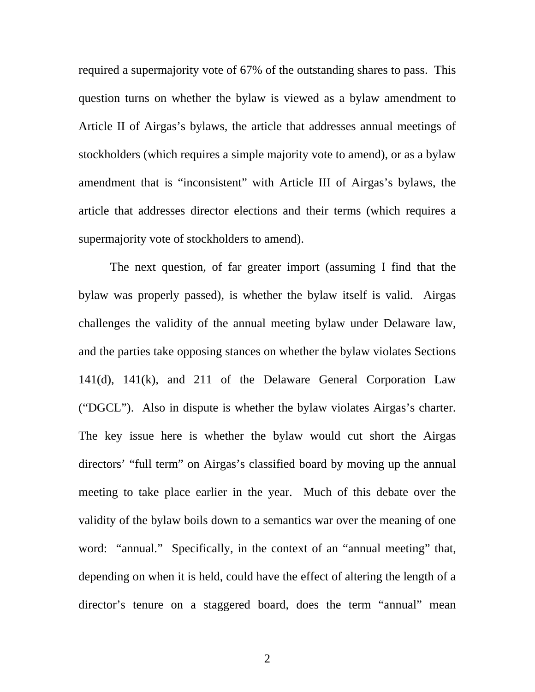required a supermajority vote of 67% of the outstanding shares to pass. This question turns on whether the bylaw is viewed as a bylaw amendment to Article II of Airgas's bylaws, the article that addresses annual meetings of stockholders (which requires a simple majority vote to amend), or as a bylaw amendment that is "inconsistent" with Article III of Airgas's bylaws, the article that addresses director elections and their terms (which requires a supermajority vote of stockholders to amend).

The next question, of far greater import (assuming I find that the bylaw was properly passed), is whether the bylaw itself is valid. Airgas challenges the validity of the annual meeting bylaw under Delaware law, and the parties take opposing stances on whether the bylaw violates Sections 141(d), 141(k), and 211 of the Delaware General Corporation Law ("DGCL"). Also in dispute is whether the bylaw violates Airgas's charter. The key issue here is whether the bylaw would cut short the Airgas directors' "full term" on Airgas's classified board by moving up the annual meeting to take place earlier in the year. Much of this debate over the validity of the bylaw boils down to a semantics war over the meaning of one word: "annual." Specifically, in the context of an "annual meeting" that, depending on when it is held, could have the effect of altering the length of a director's tenure on a staggered board, does the term "annual" mean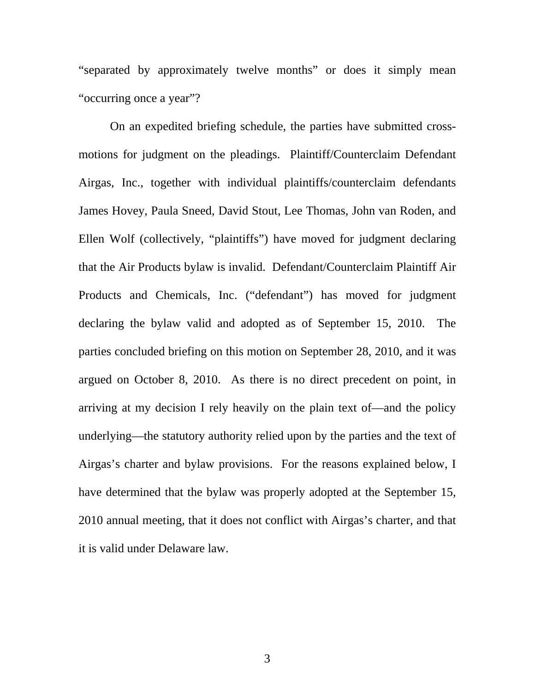"separated by approximately twelve months" or does it simply mean "occurring once a year"?

On an expedited briefing schedule, the parties have submitted crossmotions for judgment on the pleadings. Plaintiff/Counterclaim Defendant Airgas, Inc., together with individual plaintiffs/counterclaim defendants James Hovey, Paula Sneed, David Stout, Lee Thomas, John van Roden, and Ellen Wolf (collectively, "plaintiffs") have moved for judgment declaring that the Air Products bylaw is invalid. Defendant/Counterclaim Plaintiff Air Products and Chemicals, Inc. ("defendant") has moved for judgment declaring the bylaw valid and adopted as of September 15, 2010. The parties concluded briefing on this motion on September 28, 2010, and it was argued on October 8, 2010. As there is no direct precedent on point, in arriving at my decision I rely heavily on the plain text of—and the policy underlying—the statutory authority relied upon by the parties and the text of Airgas's charter and bylaw provisions. For the reasons explained below, I have determined that the bylaw was properly adopted at the September 15, 2010 annual meeting, that it does not conflict with Airgas's charter, and that it is valid under Delaware law.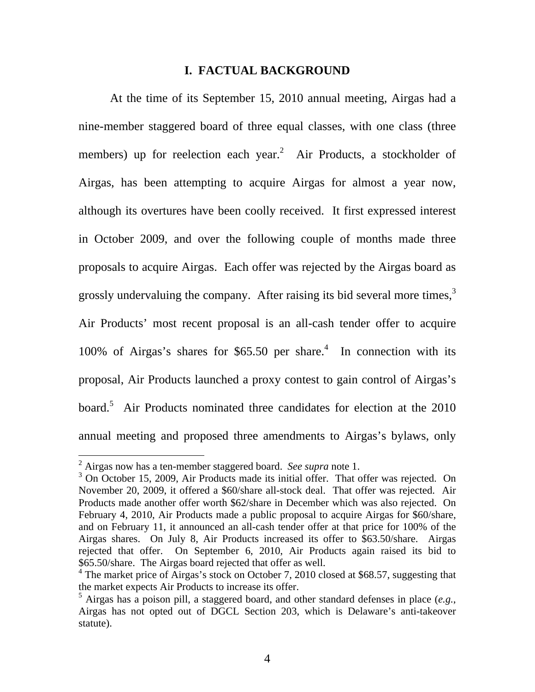### **I. FACTUAL BACKGROUND**

At the time of its September 15, 2010 annual meeting, Airgas had a nine-member staggered board of three equal classes, with one class (three members) up for reelection each year.<sup>2</sup> Air Products, a stockholder of Airgas, has been attempting to acquire Airgas for almost a year now, although its overtures have been coolly received. It first expressed interest in October 2009, and over the following couple of months made three proposals to acquire Airgas. Each offer was rejected by the Airgas board as grossly undervaluing the company. After raising its bid several more times, $3$ Air Products' most recent proposal is an all-cash tender offer to acquire 100% of Airgas's shares for \$65.50 per share.<sup>4</sup> In connection with its proposal, Air Products launched a proxy contest to gain control of Airgas's board.<sup>5</sup> Air Products nominated three candidates for election at the 2010 annual meeting and proposed three amendments to Airgas's bylaws, only

 2 Airgas now has a ten-member staggered board. *See supra* note 1.

<sup>&</sup>lt;sup>3</sup> On October 15, 2009, Air Products made its initial offer. That offer was rejected. On November 20, 2009, it offered a \$60/share all-stock deal. That offer was rejected. Air Products made another offer worth \$62/share in December which was also rejected. On February 4, 2010, Air Products made a public proposal to acquire Airgas for \$60/share, and on February 11, it announced an all-cash tender offer at that price for 100% of the Airgas shares. On July 8, Air Products increased its offer to \$63.50/share. Airgas rejected that offer. On September 6, 2010, Air Products again raised its bid to \$65.50/share. The Airgas board rejected that offer as well.

<sup>&</sup>lt;sup>4</sup> The market price of Airgas's stock on October 7, 2010 closed at \$68.57, suggesting that the market expects Air Products to increase its offer.

 $^5$  Airgas has a poison pill, a staggered board, and other standard defenses in place (e.g., Airgas has not opted out of DGCL Section 203, which is Delaware's anti-takeover statute).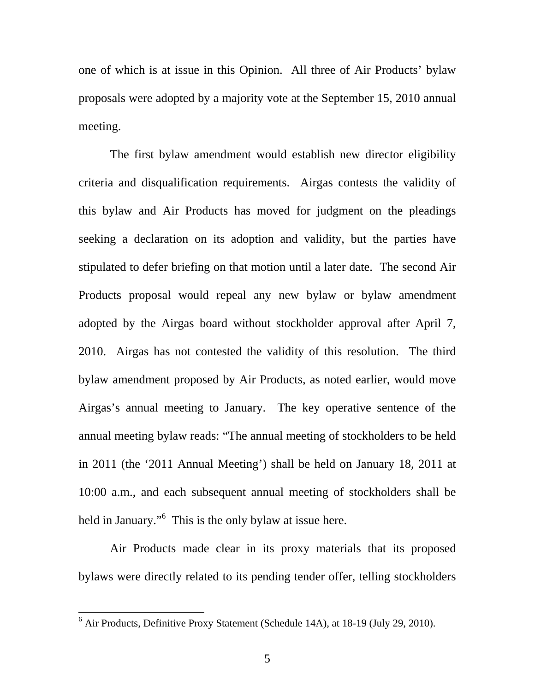one of which is at issue in this Opinion. All three of Air Products' bylaw proposals were adopted by a majority vote at the September 15, 2010 annual meeting.

The first bylaw amendment would establish new director eligibility criteria and disqualification requirements. Airgas contests the validity of this bylaw and Air Products has moved for judgment on the pleadings seeking a declaration on its adoption and validity, but the parties have stipulated to defer briefing on that motion until a later date. The second Air Products proposal would repeal any new bylaw or bylaw amendment adopted by the Airgas board without stockholder approval after April 7, 2010. Airgas has not contested the validity of this resolution. The third bylaw amendment proposed by Air Products, as noted earlier, would move Airgas's annual meeting to January. The key operative sentence of the annual meeting bylaw reads: "The annual meeting of stockholders to be held in 2011 (the '2011 Annual Meeting') shall be held on January 18, 2011 at 10:00 a.m., and each subsequent annual meeting of stockholders shall be held in January."<sup>6</sup> This is the only bylaw at issue here.

Air Products made clear in its proxy materials that its proposed bylaws were directly related to its pending tender offer, telling stockholders

 6 Air Products, Definitive Proxy Statement (Schedule 14A), at 18-19 (July 29, 2010).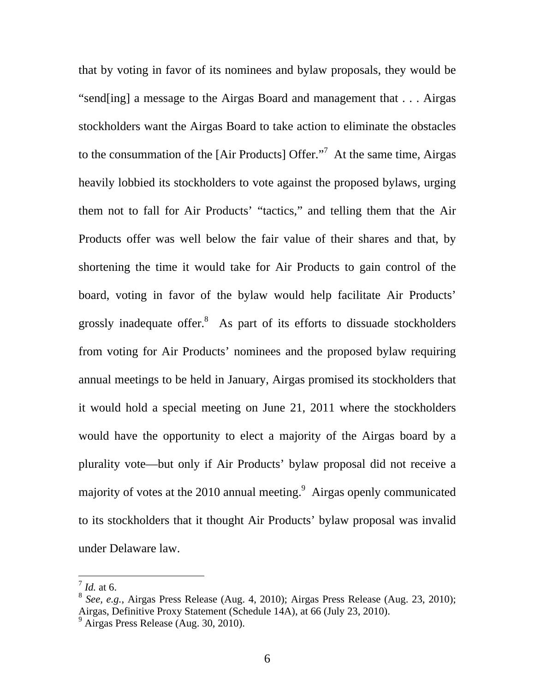that by voting in favor of its nominees and bylaw proposals, they would be "send[ing] a message to the Airgas Board and management that . . . Airgas stockholders want the Airgas Board to take action to eliminate the obstacles to the consummation of the [Air Products] Offer. $\cdot$ <sup>7</sup> At the same time, Airgas heavily lobbied its stockholders to vote against the proposed bylaws, urging them not to fall for Air Products' "tactics," and telling them that the Air Products offer was well below the fair value of their shares and that, by shortening the time it would take for Air Products to gain control of the board, voting in favor of the bylaw would help facilitate Air Products' grossly inadequate offer. $8$  As part of its efforts to dissuade stockholders from voting for Air Products' nominees and the proposed bylaw requiring annual meetings to be held in January, Airgas promised its stockholders that it would hold a special meeting on June 21, 2011 where the stockholders would have the opportunity to elect a majority of the Airgas board by a plurality vote—but only if Air Products' bylaw proposal did not receive a majority of votes at the 2010 annual meeting.<sup>9</sup> Airgas openly communicated to its stockholders that it thought Air Products' bylaw proposal was invalid under Delaware law.

<sup>7</sup> *Id.* at 6.

<sup>8</sup> *See, e.g.*, Airgas Press Release (Aug. 4, 2010); Airgas Press Release (Aug. 23, 2010); Airgas, Definitive Proxy Statement (Schedule 14A), at 66 (July 23, 2010).

<sup>9</sup> Airgas Press Release (Aug. 30, 2010).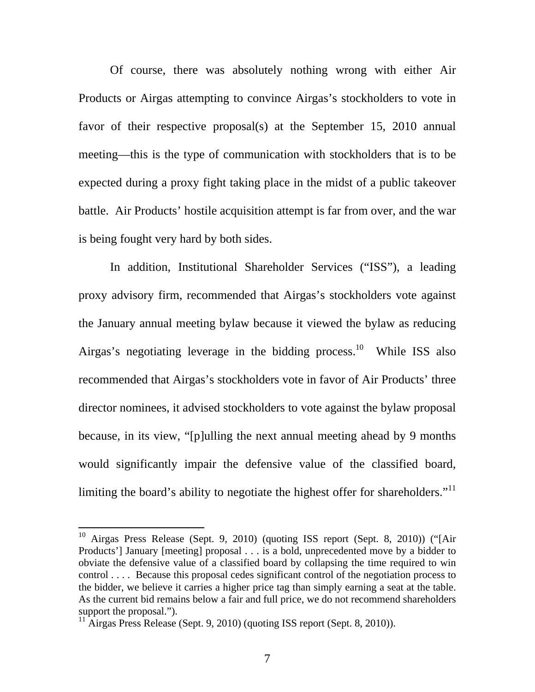Of course, there was absolutely nothing wrong with either Air Products or Airgas attempting to convince Airgas's stockholders to vote in favor of their respective proposal(s) at the September 15, 2010 annual meeting—this is the type of communication with stockholders that is to be expected during a proxy fight taking place in the midst of a public takeover battle. Air Products' hostile acquisition attempt is far from over, and the war is being fought very hard by both sides.

In addition, Institutional Shareholder Services ("ISS"), a leading proxy advisory firm, recommended that Airgas's stockholders vote against the January annual meeting bylaw because it viewed the bylaw as reducing Airgas's negotiating leverage in the bidding process.<sup>10</sup> While ISS also recommended that Airgas's stockholders vote in favor of Air Products' three director nominees, it advised stockholders to vote against the bylaw proposal because, in its view, "[p]ulling the next annual meeting ahead by 9 months would significantly impair the defensive value of the classified board, limiting the board's ability to negotiate the highest offer for shareholders."<sup>11</sup>

 $10$  Airgas Press Release (Sept. 9, 2010) (quoting ISS report (Sept. 8, 2010)) ("[Air Products'] January [meeting] proposal . . . is a bold, unprecedented move by a bidder to obviate the defensive value of a classified board by collapsing the time required to win control . . . . Because this proposal cedes significant control of the negotiation process to the bidder, we believe it carries a higher price tag than simply earning a seat at the table. As the current bid remains below a fair and full price, we do not recommend shareholders support the proposal.").

 $11$  Airgas Press Release (Sept. 9, 2010) (quoting ISS report (Sept. 8, 2010)).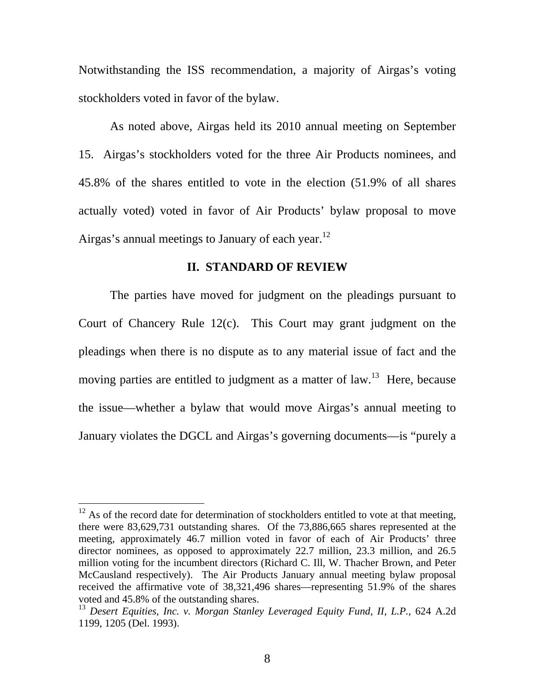Notwithstanding the ISS recommendation, a majority of Airgas's voting stockholders voted in favor of the bylaw.

As noted above, Airgas held its 2010 annual meeting on September 15. Airgas's stockholders voted for the three Air Products nominees, and 45.8% of the shares entitled to vote in the election (51.9% of all shares actually voted) voted in favor of Air Products' bylaw proposal to move Airgas's annual meetings to January of each year.<sup>12</sup>

## **II. STANDARD OF REVIEW**

The parties have moved for judgment on the pleadings pursuant to Court of Chancery Rule 12(c). This Court may grant judgment on the pleadings when there is no dispute as to any material issue of fact and the moving parties are entitled to judgment as a matter of law.<sup>13</sup> Here, because the issue—whether a bylaw that would move Airgas's annual meeting to January violates the DGCL and Airgas's governing documents—is "purely a

 $12$  As of the record date for determination of stockholders entitled to vote at that meeting, there were 83,629,731 outstanding shares. Of the 73,886,665 shares represented at the meeting, approximately 46.7 million voted in favor of each of Air Products' three director nominees, as opposed to approximately 22.7 million, 23.3 million, and 26.5 million voting for the incumbent directors (Richard C. Ill, W. Thacher Brown, and Peter McCausland respectively). The Air Products January annual meeting bylaw proposal received the affirmative vote of 38,321,496 shares—representing 51.9% of the shares voted and 45.8% of the outstanding shares.

<sup>13</sup> *Desert Equities, Inc. v. Morgan Stanley Leveraged Equity Fund, II, L.P.*, 624 A.2d 1199, 1205 (Del. 1993).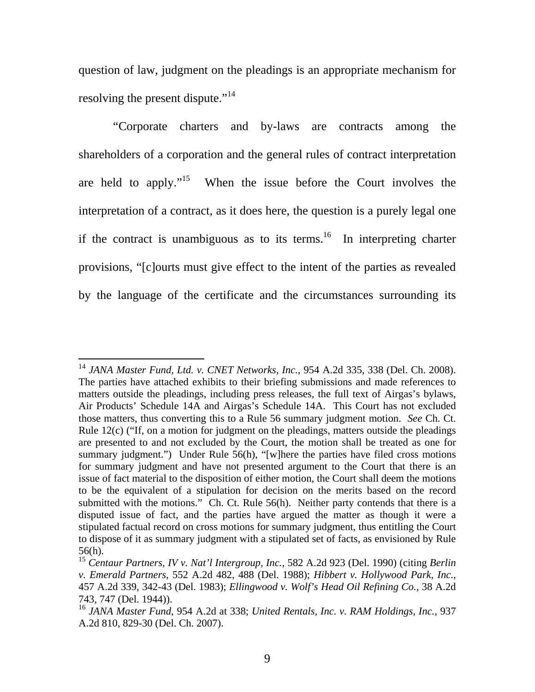question of law, judgment on the pleadings is an appropriate mechanism for resolving the present dispute."<sup>14</sup>

 "Corporate charters and by-laws are contracts among the shareholders of a corporation and the general rules of contract interpretation are held to apply."<sup>15</sup> When the issue before the Court involves the interpretation of a contract, as it does here, the question is a purely legal one if the contract is unambiguous as to its terms.<sup>16</sup> In interpreting charter provisions, "[c]ourts must give effect to the intent of the parties as revealed by the language of the certificate and the circumstances surrounding its

<sup>14</sup> *JANA Master Fund, Ltd. v. CNET Networks, Inc.*, 954 A.2d 335, 338 (Del. Ch. 2008). The parties have attached exhibits to their briefing submissions and made references to matters outside the pleadings, including press releases, the full text of Airgas's bylaws, Air Products' Schedule 14A and Airgas's Schedule 14A. This Court has not excluded those matters, thus converting this to a Rule 56 summary judgment motion. *See* Ch. Ct. Rule  $12(c)$  ("If, on a motion for judgment on the pleadings, matters outside the pleadings are presented to and not excluded by the Court, the motion shall be treated as one for summary judgment.") Under Rule 56(h), "[w]here the parties have filed cross motions for summary judgment and have not presented argument to the Court that there is an issue of fact material to the disposition of either motion, the Court shall deem the motions to be the equivalent of a stipulation for decision on the merits based on the record submitted with the motions." Ch. Ct. Rule 56(h). Neither party contends that there is a disputed issue of fact, and the parties have argued the matter as though it were a stipulated factual record on cross motions for summary judgment, thus entitling the Court to dispose of it as summary judgment with a stipulated set of facts, as envisioned by Rule 56(h).

<sup>15</sup> *Centaur Partners, IV v. Nat'l Intergroup, Inc.*, 582 A.2d 923 (Del. 1990) (citing *Berlin v. Emerald Partners*, 552 A.2d 482, 488 (Del. 1988); *Hibbert v. Hollywood Park, Inc.*, 457 A.2d 339, 342-43 (Del. 1983); *Ellingwood v. Wolf's Head Oil Refining Co.*, 38 A.2d 743, 747 (Del. 1944)).

<sup>16</sup> *JANA Master Fund*, 954 A.2d at 338; *United Rentals, Inc. v. RAM Holdings, Inc.*, 937 A.2d 810, 829-30 (Del. Ch. 2007).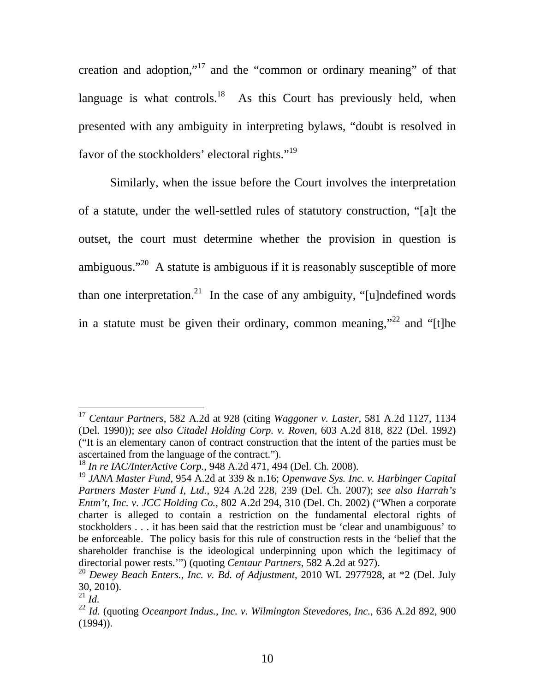creation and adoption,"17 and the "common or ordinary meaning" of that language is what controls.<sup>18</sup> As this Court has previously held, when presented with any ambiguity in interpreting bylaws, "doubt is resolved in favor of the stockholders' electoral rights."<sup>19</sup>

Similarly, when the issue before the Court involves the interpretation of a statute, under the well-settled rules of statutory construction, "[a]t the outset, the court must determine whether the provision in question is ambiguous."<sup>20</sup> A statute is ambiguous if it is reasonably susceptible of more than one interpretation.<sup>21</sup> In the case of any ambiguity, "[u]ndefined words in a statute must be given their ordinary, common meaning,"<sup>22</sup> and "[t]he

<sup>17</sup> *Centaur Partners*, 582 A.2d at 928 (citing *Waggoner v. Laster*, 581 A.2d 1127, 1134 (Del. 1990)); *see also Citadel Holding Corp. v. Roven*, 603 A.2d 818, 822 (Del. 1992) ("It is an elementary canon of contract construction that the intent of the parties must be ascertained from the language of the contract.").

<sup>18</sup> *In re IAC/InterActive Corp.*, 948 A.2d 471, 494 (Del. Ch. 2008).

<sup>19</sup> *JANA Master Fund*, 954 A.2d at 339 & n.16; *Openwave Sys. Inc. v. Harbinger Capital Partners Master Fund I, Ltd.*, 924 A.2d 228, 239 (Del. Ch. 2007); *see also Harrah's Entm't, Inc. v. JCC Holding Co.*, 802 A.2d 294, 310 (Del. Ch. 2002) ("When a corporate charter is alleged to contain a restriction on the fundamental electoral rights of stockholders . . . it has been said that the restriction must be 'clear and unambiguous' to be enforceable. The policy basis for this rule of construction rests in the 'belief that the shareholder franchise is the ideological underpinning upon which the legitimacy of directorial power rests.'") (quoting *Centaur Partners*, 582 A.2d at 927).

<sup>20</sup> *Dewey Beach Enters., Inc. v. Bd. of Adjustment*, 2010 WL 2977928, at \*2 (Del. July 30, 2010).

 $^{21}$  *Id.* 

<sup>22</sup> *Id.* (quoting *Oceanport Indus., Inc. v. Wilmington Stevedores, Inc.*, 636 A.2d 892, 900  $(1994)$ ).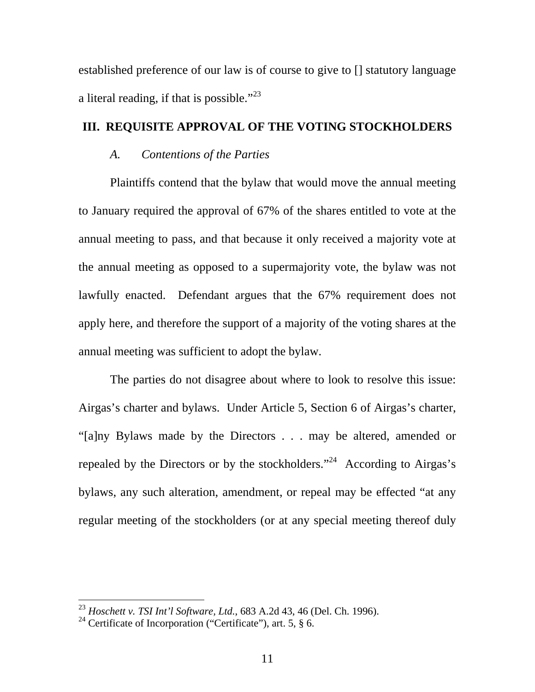established preference of our law is of course to give to [] statutory language a literal reading, if that is possible."<sup>23</sup>

# **III. REQUISITE APPROVAL OF THE VOTING STOCKHOLDERS**

## *A. Contentions of the Parties*

Plaintiffs contend that the bylaw that would move the annual meeting to January required the approval of 67% of the shares entitled to vote at the annual meeting to pass, and that because it only received a majority vote at the annual meeting as opposed to a supermajority vote, the bylaw was not lawfully enacted. Defendant argues that the 67% requirement does not apply here, and therefore the support of a majority of the voting shares at the annual meeting was sufficient to adopt the bylaw.

The parties do not disagree about where to look to resolve this issue: Airgas's charter and bylaws. Under Article 5, Section 6 of Airgas's charter, "[a]ny Bylaws made by the Directors . . . may be altered, amended or repealed by the Directors or by the stockholders."<sup>24</sup> According to Airgas's bylaws, any such alteration, amendment, or repeal may be effected "at any regular meeting of the stockholders (or at any special meeting thereof duly

<sup>23</sup> *Hoschett v. TSI Int'l Software, Ltd.*, 683 A.2d 43, 46 (Del. Ch. 1996).

<sup>&</sup>lt;sup>24</sup> Certificate of Incorporation ("Certificate"), art. 5,  $\frac{8}{10}$  6.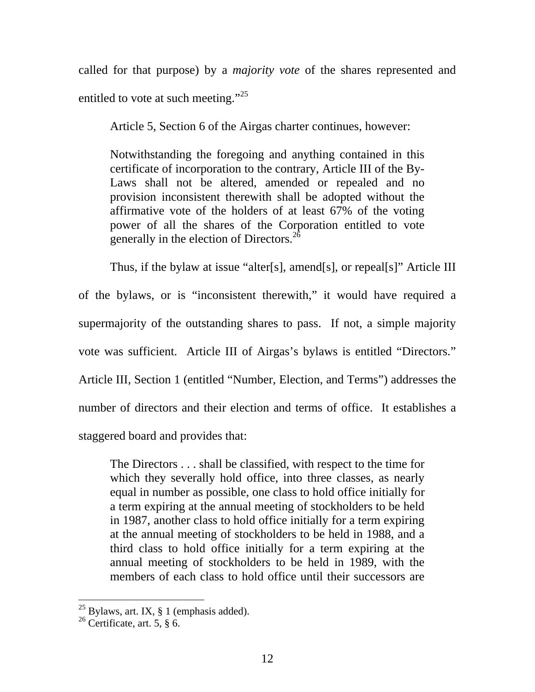called for that purpose) by a *majority vote* of the shares represented and entitled to vote at such meeting."<sup>25</sup>

Article 5, Section 6 of the Airgas charter continues, however:

Notwithstanding the foregoing and anything contained in this certificate of incorporation to the contrary, Article III of the By-Laws shall not be altered, amended or repealed and no provision inconsistent therewith shall be adopted without the affirmative vote of the holders of at least 67% of the voting power of all the shares of the Corporation entitled to vote generally in the election of Directors. $^{2\delta}$ 

Thus, if the bylaw at issue "alter[s], amend[s], or repeal[s]" Article III of the bylaws, or is "inconsistent therewith," it would have required a supermajority of the outstanding shares to pass. If not, a simple majority vote was sufficient. Article III of Airgas's bylaws is entitled "Directors." Article III, Section 1 (entitled "Number, Election, and Terms") addresses the number of directors and their election and terms of office. It establishes a staggered board and provides that:

The Directors . . . shall be classified, with respect to the time for which they severally hold office, into three classes, as nearly equal in number as possible, one class to hold office initially for a term expiring at the annual meeting of stockholders to be held in 1987, another class to hold office initially for a term expiring at the annual meeting of stockholders to be held in 1988, and a third class to hold office initially for a term expiring at the annual meeting of stockholders to be held in 1989, with the members of each class to hold office until their successors are

 $^{25}$  Bylaws, art. IX, § 1 (emphasis added).

<sup>&</sup>lt;sup>26</sup> Certificate, art. 5,  $\S$  6.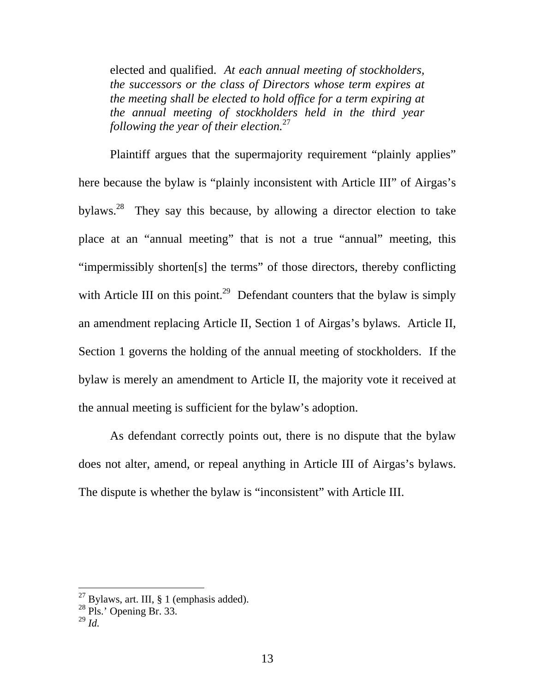elected and qualified. *At each annual meeting of stockholders, the successors or the class of Directors whose term expires at the meeting shall be elected to hold office for a term expiring at the annual meeting of stockholders held in the third year following the year of their election.*27

Plaintiff argues that the supermajority requirement "plainly applies" here because the bylaw is "plainly inconsistent with Article III" of Airgas's bylaws.<sup>28</sup> They say this because, by allowing a director election to take place at an "annual meeting" that is not a true "annual" meeting, this "impermissibly shorten[s] the terms" of those directors, thereby conflicting with Article III on this point.<sup>29</sup> Defendant counters that the bylaw is simply an amendment replacing Article II, Section 1 of Airgas's bylaws. Article II, Section 1 governs the holding of the annual meeting of stockholders. If the bylaw is merely an amendment to Article II, the majority vote it received at the annual meeting is sufficient for the bylaw's adoption.

As defendant correctly points out, there is no dispute that the bylaw does not alter, amend, or repeal anything in Article III of Airgas's bylaws. The dispute is whether the bylaw is "inconsistent" with Article III.

 $^{27}$  Bylaws, art. III, § 1 (emphasis added).

 $28$  Pls.' Opening Br. 33.

<sup>29</sup> *Id.*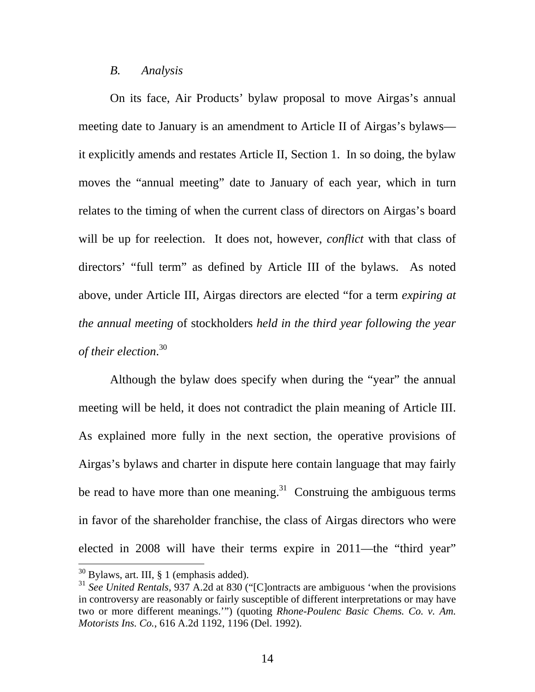#### *B. Analysis*

On its face, Air Products' bylaw proposal to move Airgas's annual meeting date to January is an amendment to Article II of Airgas's bylaws it explicitly amends and restates Article II, Section 1. In so doing, the bylaw moves the "annual meeting" date to January of each year, which in turn relates to the timing of when the current class of directors on Airgas's board will be up for reelection. It does not, however, *conflict* with that class of directors' "full term" as defined by Article III of the bylaws. As noted above, under Article III, Airgas directors are elected "for a term *expiring at the annual meeting* of stockholders *held in the third year following the year of their election*. 30

Although the bylaw does specify when during the "year" the annual meeting will be held, it does not contradict the plain meaning of Article III. As explained more fully in the next section, the operative provisions of Airgas's bylaws and charter in dispute here contain language that may fairly be read to have more than one meaning.<sup>31</sup> Construing the ambiguous terms in favor of the shareholder franchise, the class of Airgas directors who were elected in 2008 will have their terms expire in 2011—the "third year"

 $30$  Bylaws, art. III, § 1 (emphasis added).

<sup>&</sup>lt;sup>31</sup> See United Rentals, 937 A.2d at 830 ("[C]ontracts are ambiguous 'when the provisions in controversy are reasonably or fairly susceptible of different interpretations or may have two or more different meanings.'") (quoting *Rhone-Poulenc Basic Chems. Co. v. Am. Motorists Ins. Co.*, 616 A.2d 1192, 1196 (Del. 1992).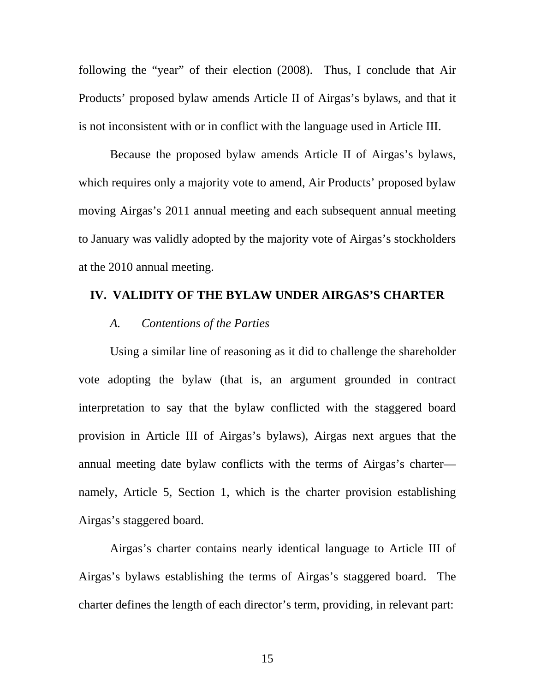following the "year" of their election (2008). Thus, I conclude that Air Products' proposed bylaw amends Article II of Airgas's bylaws, and that it is not inconsistent with or in conflict with the language used in Article III.

Because the proposed bylaw amends Article II of Airgas's bylaws, which requires only a majority vote to amend, Air Products' proposed bylaw moving Airgas's 2011 annual meeting and each subsequent annual meeting to January was validly adopted by the majority vote of Airgas's stockholders at the 2010 annual meeting.

## **IV. VALIDITY OF THE BYLAW UNDER AIRGAS'S CHARTER**

## *A. Contentions of the Parties*

Using a similar line of reasoning as it did to challenge the shareholder vote adopting the bylaw (that is, an argument grounded in contract interpretation to say that the bylaw conflicted with the staggered board provision in Article III of Airgas's bylaws), Airgas next argues that the annual meeting date bylaw conflicts with the terms of Airgas's charter namely, Article 5, Section 1, which is the charter provision establishing Airgas's staggered board.

Airgas's charter contains nearly identical language to Article III of Airgas's bylaws establishing the terms of Airgas's staggered board. The charter defines the length of each director's term, providing, in relevant part:

15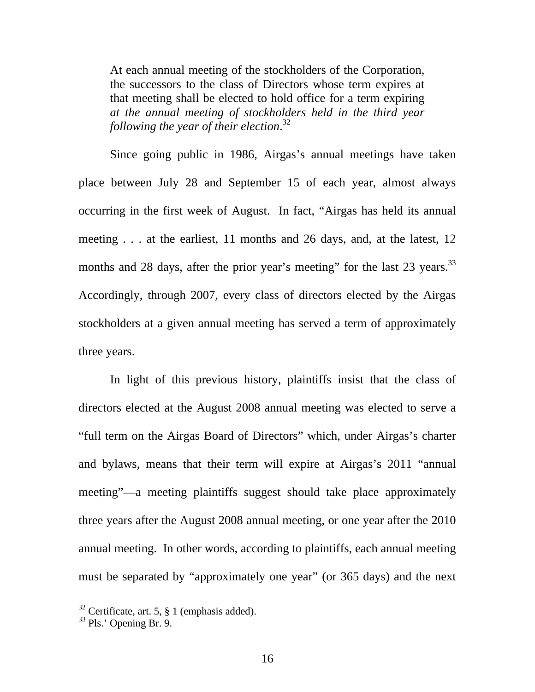At each annual meeting of the stockholders of the Corporation, the successors to the class of Directors whose term expires at that meeting shall be elected to hold office for a term expiring *at the annual meeting of stockholders held in the third year following the year of their election*. 32

Since going public in 1986, Airgas's annual meetings have taken place between July 28 and September 15 of each year, almost always occurring in the first week of August. In fact, "Airgas has held its annual meeting . . . at the earliest, 11 months and 26 days, and, at the latest, 12 months and 28 days, after the prior year's meeting" for the last 23 years.<sup>33</sup> Accordingly, through 2007, every class of directors elected by the Airgas stockholders at a given annual meeting has served a term of approximately three years.

In light of this previous history, plaintiffs insist that the class of directors elected at the August 2008 annual meeting was elected to serve a "full term on the Airgas Board of Directors" which, under Airgas's charter and bylaws, means that their term will expire at Airgas's 2011 "annual meeting"—a meeting plaintiffs suggest should take place approximately three years after the August 2008 annual meeting, or one year after the 2010 annual meeting. In other words, according to plaintiffs, each annual meeting must be separated by "approximately one year" (or 365 days) and the next

 $32$  Certificate, art. 5,  $\frac{8}{3}$  1 (emphasis added).

<sup>33</sup> Pls.' Opening Br. 9.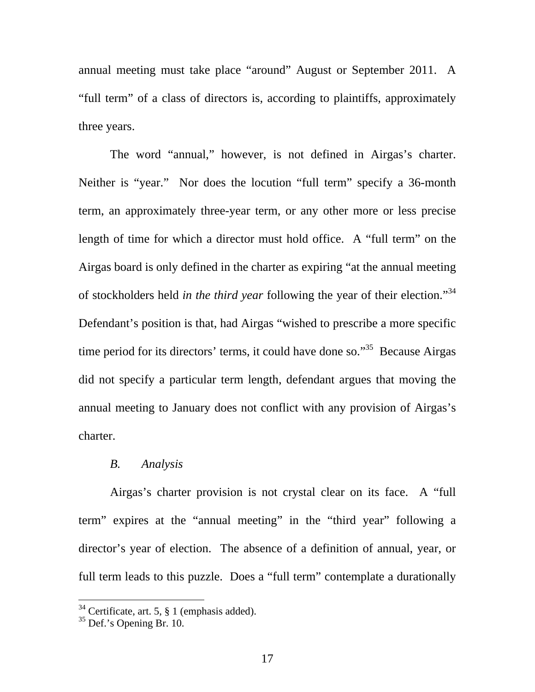annual meeting must take place "around" August or September 2011. A "full term" of a class of directors is, according to plaintiffs, approximately three years.

The word "annual," however, is not defined in Airgas's charter. Neither is "year." Nor does the locution "full term" specify a 36-month term, an approximately three-year term, or any other more or less precise length of time for which a director must hold office. A "full term" on the Airgas board is only defined in the charter as expiring "at the annual meeting of stockholders held *in the third year* following the year of their election."34 Defendant's position is that, had Airgas "wished to prescribe a more specific time period for its directors' terms, it could have done so."<sup>35</sup> Because Airgas did not specify a particular term length, defendant argues that moving the annual meeting to January does not conflict with any provision of Airgas's charter.

## *B. Analysis*

Airgas's charter provision is not crystal clear on its face. A "full term" expires at the "annual meeting" in the "third year" following a director's year of election. The absence of a definition of annual, year, or full term leads to this puzzle. Does a "full term" contemplate a durationally

 $34$  Certificate, art. 5, § 1 (emphasis added).

 $35$  Def.'s Opening Br. 10.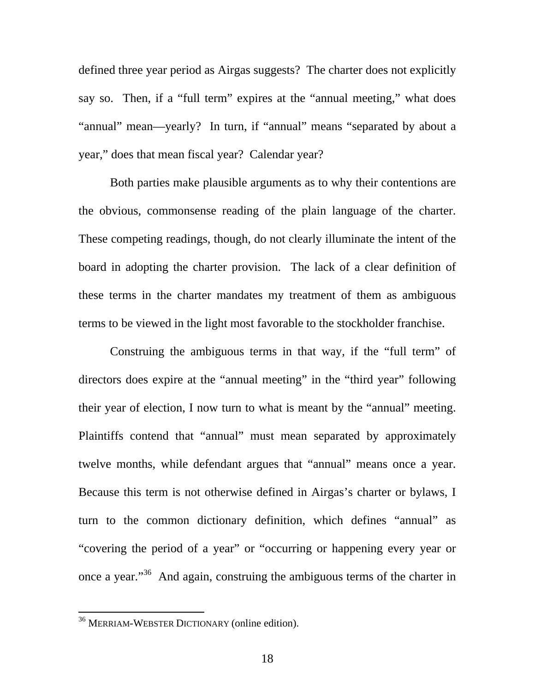defined three year period as Airgas suggests? The charter does not explicitly say so. Then, if a "full term" expires at the "annual meeting," what does "annual" mean—yearly? In turn, if "annual" means "separated by about a year," does that mean fiscal year? Calendar year?

Both parties make plausible arguments as to why their contentions are the obvious, commonsense reading of the plain language of the charter. These competing readings, though, do not clearly illuminate the intent of the board in adopting the charter provision. The lack of a clear definition of these terms in the charter mandates my treatment of them as ambiguous terms to be viewed in the light most favorable to the stockholder franchise.

Construing the ambiguous terms in that way, if the "full term" of directors does expire at the "annual meeting" in the "third year" following their year of election, I now turn to what is meant by the "annual" meeting. Plaintiffs contend that "annual" must mean separated by approximately twelve months, while defendant argues that "annual" means once a year. Because this term is not otherwise defined in Airgas's charter or bylaws, I turn to the common dictionary definition, which defines "annual" as "covering the period of a year" or "occurring or happening every year or once a year."36 And again, construing the ambiguous terms of the charter in

<sup>&</sup>lt;sup>36</sup> MERRIAM-WEBSTER DICTIONARY (online edition).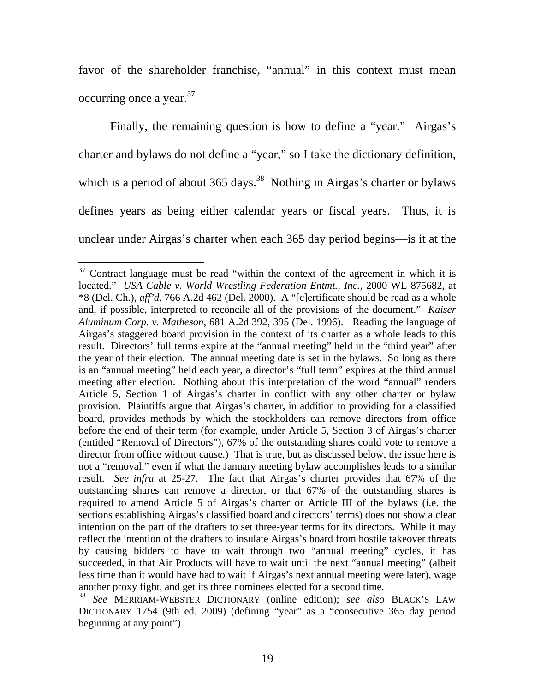favor of the shareholder franchise, "annual" in this context must mean occurring once a year.<sup>37</sup>

Finally, the remaining question is how to define a "year." Airgas's charter and bylaws do not define a "year," so I take the dictionary definition, which is a period of about  $365 \text{ days}$ .<sup>38</sup> Nothing in Airgas's charter or bylaws defines years as being either calendar years or fiscal years. Thus, it is unclear under Airgas's charter when each 365 day period begins—is it at the

 $37$  Contract language must be read "within the context of the agreement in which it is located." *USA Cable v. World Wrestling Federation Entmt., Inc.*, 2000 WL 875682, at \*8 (Del. Ch.), *aff'd*, 766 A.2d 462 (Del. 2000).A "[c]ertificate should be read as a whole and, if possible, interpreted to reconcile all of the provisions of the document." *Kaiser Aluminum Corp. v. Matheson*, 681 A.2d 392, 395 (Del. 1996). Reading the language of Airgas's staggered board provision in the context of its charter as a whole leads to this result. Directors' full terms expire at the "annual meeting" held in the "third year" after the year of their election. The annual meeting date is set in the bylaws. So long as there is an "annual meeting" held each year, a director's "full term" expires at the third annual meeting after election. Nothing about this interpretation of the word "annual" renders Article 5, Section 1 of Airgas's charter in conflict with any other charter or bylaw provision. Plaintiffs argue that Airgas's charter, in addition to providing for a classified board, provides methods by which the stockholders can remove directors from office before the end of their term (for example, under Article 5, Section 3 of Airgas's charter (entitled "Removal of Directors"), 67% of the outstanding shares could vote to remove a director from office without cause.) That is true, but as discussed below, the issue here is not a "removal," even if what the January meeting bylaw accomplishes leads to a similar result. *See infra* at 25-27. The fact that Airgas's charter provides that 67% of the outstanding shares can remove a director, or that 67% of the outstanding shares is required to amend Article 5 of Airgas's charter or Article III of the bylaws (i.e. the sections establishing Airgas's classified board and directors' terms) does not show a clear intention on the part of the drafters to set three-year terms for its directors. While it may reflect the intention of the drafters to insulate Airgas's board from hostile takeover threats by causing bidders to have to wait through two "annual meeting" cycles, it has succeeded, in that Air Products will have to wait until the next "annual meeting" (albeit less time than it would have had to wait if Airgas's next annual meeting were later), wage another proxy fight, and get its three nominees elected for a second time.

<sup>38</sup> *See* MERRIAM-WEBSTER DICTIONARY (online edition); *see also* BLACK'S LAW DICTIONARY 1754 (9th ed. 2009) (defining "year" as a "consecutive 365 day period beginning at any point").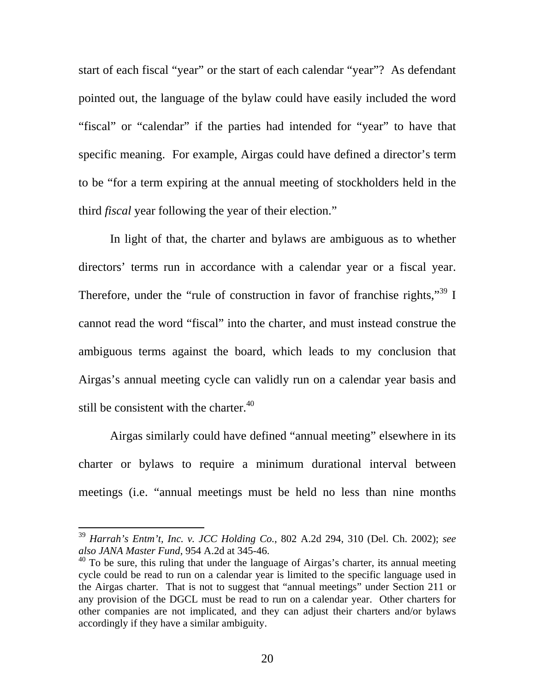start of each fiscal "year" or the start of each calendar "year"? As defendant pointed out, the language of the bylaw could have easily included the word "fiscal" or "calendar" if the parties had intended for "year" to have that specific meaning. For example, Airgas could have defined a director's term to be "for a term expiring at the annual meeting of stockholders held in the third *fiscal* year following the year of their election."

In light of that, the charter and bylaws are ambiguous as to whether directors' terms run in accordance with a calendar year or a fiscal year. Therefore, under the "rule of construction in favor of franchise rights,"  $39 \text{ I}$ cannot read the word "fiscal" into the charter, and must instead construe the ambiguous terms against the board, which leads to my conclusion that Airgas's annual meeting cycle can validly run on a calendar year basis and still be consistent with the charter. $40$ 

Airgas similarly could have defined "annual meeting" elsewhere in its charter or bylaws to require a minimum durational interval between meetings (i.e. "annual meetings must be held no less than nine months

<sup>39</sup> *Harrah's Entm't, Inc. v. JCC Holding Co.*, 802 A.2d 294, 310 (Del. Ch. 2002); *see also JANA Master Fund*, 954 A.2d at 345-46.

 $40$  To be sure, this ruling that under the language of Airgas's charter, its annual meeting cycle could be read to run on a calendar year is limited to the specific language used in the Airgas charter. That is not to suggest that "annual meetings" under Section 211 or any provision of the DGCL must be read to run on a calendar year. Other charters for other companies are not implicated, and they can adjust their charters and/or bylaws accordingly if they have a similar ambiguity.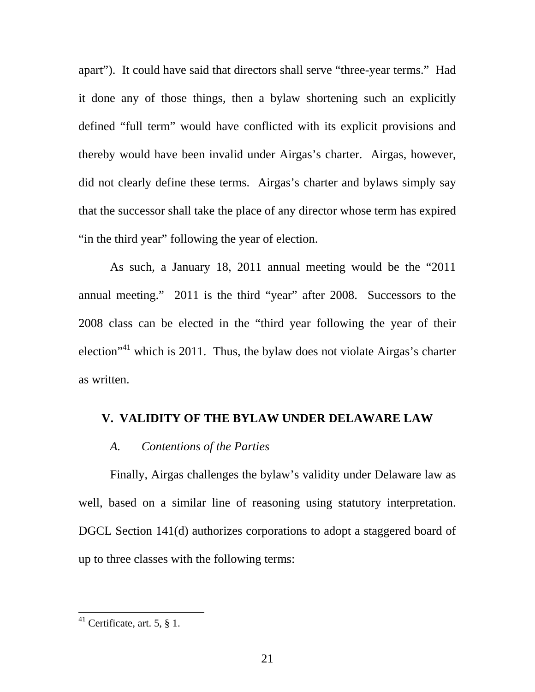apart"). It could have said that directors shall serve "three-year terms." Had it done any of those things, then a bylaw shortening such an explicitly defined "full term" would have conflicted with its explicit provisions and thereby would have been invalid under Airgas's charter. Airgas, however, did not clearly define these terms. Airgas's charter and bylaws simply say that the successor shall take the place of any director whose term has expired "in the third year" following the year of election.

As such, a January 18, 2011 annual meeting would be the "2011 annual meeting." 2011 is the third "year" after 2008. Successors to the 2008 class can be elected in the "third year following the year of their election<sup> $1$ </sup> which is 2011. Thus, the bylaw does not violate Airgas's charter as written.

### **V. VALIDITY OF THE BYLAW UNDER DELAWARE LAW**

#### *A. Contentions of the Parties*

Finally, Airgas challenges the bylaw's validity under Delaware law as well, based on a similar line of reasoning using statutory interpretation. DGCL Section 141(d) authorizes corporations to adopt a staggered board of up to three classes with the following terms:

<sup>&</sup>lt;sup>41</sup> Certificate, art. 5,  $\S$  1.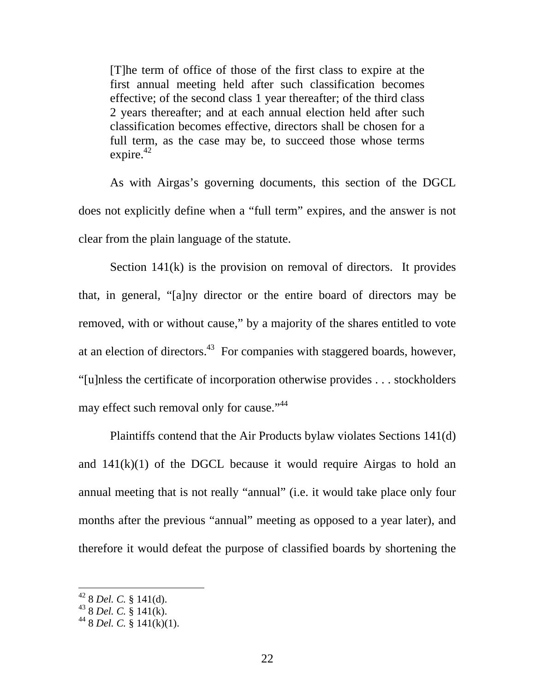[T]he term of office of those of the first class to expire at the first annual meeting held after such classification becomes effective; of the second class 1 year thereafter; of the third class 2 years thereafter; and at each annual election held after such classification becomes effective, directors shall be chosen for a full term, as the case may be, to succeed those whose terms expire. $42$ 

As with Airgas's governing documents, this section of the DGCL does not explicitly define when a "full term" expires, and the answer is not clear from the plain language of the statute.

Section 141(k) is the provision on removal of directors. It provides that, in general, "[a]ny director or the entire board of directors may be removed, with or without cause," by a majority of the shares entitled to vote at an election of directors.<sup>43</sup> For companies with staggered boards, however, "[u]nless the certificate of incorporation otherwise provides . . . stockholders may effect such removal only for cause."<sup>44</sup>

Plaintiffs contend that the Air Products bylaw violates Sections 141(d) and  $141(k)(1)$  of the DGCL because it would require Airgas to hold an annual meeting that is not really "annual" (i.e. it would take place only four months after the previous "annual" meeting as opposed to a year later), and therefore it would defeat the purpose of classified boards by shortening the

<sup>42 8</sup> *Del. C.* § 141(d).

<sup>43 8</sup> *Del. C.* § 141(k).

<sup>&</sup>lt;sup>44</sup> 8 *Del. C.* § 141(k)(1).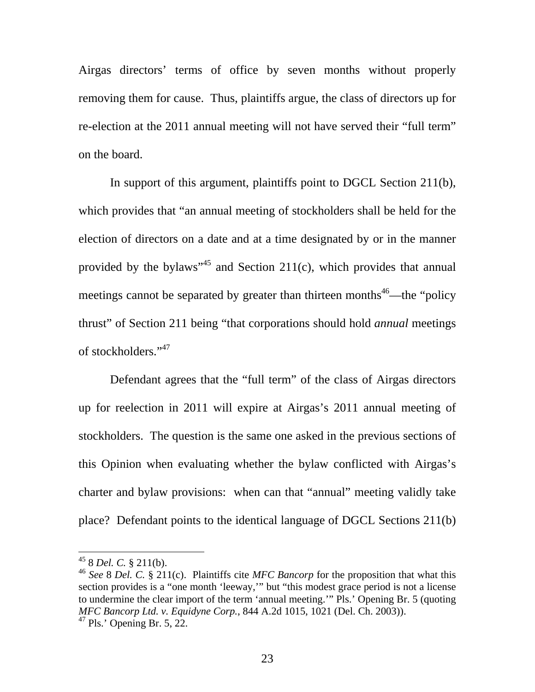Airgas directors' terms of office by seven months without properly removing them for cause. Thus, plaintiffs argue, the class of directors up for re-election at the 2011 annual meeting will not have served their "full term" on the board.

In support of this argument, plaintiffs point to DGCL Section 211(b), which provides that "an annual meeting of stockholders shall be held for the election of directors on a date and at a time designated by or in the manner provided by the bylaws"<sup>45</sup> and Section 211(c), which provides that annual meetings cannot be separated by greater than thirteen months<sup>46</sup>—the "policy" thrust" of Section 211 being "that corporations should hold *annual* meetings of stockholders."47

Defendant agrees that the "full term" of the class of Airgas directors up for reelection in 2011 will expire at Airgas's 2011 annual meeting of stockholders. The question is the same one asked in the previous sections of this Opinion when evaluating whether the bylaw conflicted with Airgas's charter and bylaw provisions: when can that "annual" meeting validly take place? Defendant points to the identical language of DGCL Sections 211(b)

<sup>45 8</sup> *Del. C.* § 211(b).

<sup>46</sup> *See* 8 *Del. C.* § 211(c). Plaintiffs cite *MFC Bancorp* for the proposition that what this section provides is a "one month 'leeway," but "this modest grace period is not a license to undermine the clear import of the term 'annual meeting.'" Pls.' Opening Br. 5 (quoting *MFC Bancorp Ltd. v. Equidyne Corp.*, 844 A.2d 1015, 1021 (Del. Ch. 2003)).  $47$  Pls.' Opening Br. 5, 22.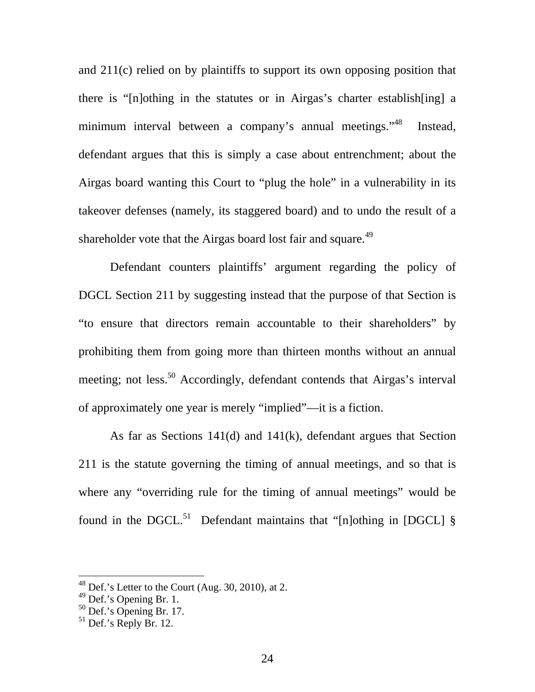and 211(c) relied on by plaintiffs to support its own opposing position that there is "[n]othing in the statutes or in Airgas's charter establish[ing] a minimum interval between a company's annual meetings."<sup>48</sup> Instead, defendant argues that this is simply a case about entrenchment; about the Airgas board wanting this Court to "plug the hole" in a vulnerability in its takeover defenses (namely, its staggered board) and to undo the result of a shareholder vote that the Airgas board lost fair and square.<sup>49</sup>

Defendant counters plaintiffs' argument regarding the policy of DGCL Section 211 by suggesting instead that the purpose of that Section is "to ensure that directors remain accountable to their shareholders" by prohibiting them from going more than thirteen months without an annual meeting; not less.<sup>50</sup> Accordingly, defendant contends that Airgas's interval of approximately one year is merely "implied"—it is a fiction.

As far as Sections 141(d) and 141(k), defendant argues that Section 211 is the statute governing the timing of annual meetings, and so that is where any "overriding rule for the timing of annual meetings" would be found in the DGCL.<sup>51</sup> Defendant maintains that "[n]othing in [DGCL]  $\S$ 

 $48$  Def.'s Letter to the Court (Aug. 30, 2010), at 2.

<sup>&</sup>lt;sup>49</sup> Def.'s Opening Br. 1.

 $50$  Def.'s Opening Br. 17.

 $51$  Def.'s Reply Br. 12.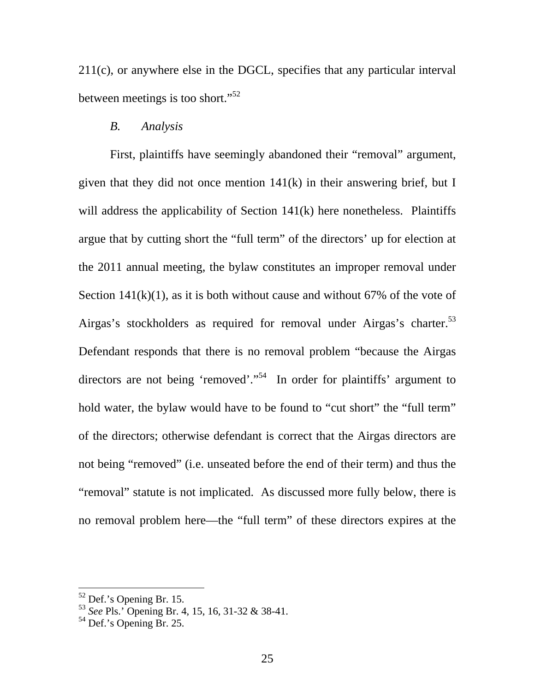211(c), or anywhere else in the DGCL, specifies that any particular interval between meetings is too short."52

## *B. Analysis*

First, plaintiffs have seemingly abandoned their "removal" argument, given that they did not once mention 141(k) in their answering brief, but I will address the applicability of Section 141(k) here nonetheless. Plaintiffs argue that by cutting short the "full term" of the directors' up for election at the 2011 annual meeting, the bylaw constitutes an improper removal under Section  $141(k)(1)$ , as it is both without cause and without 67% of the vote of Airgas's stockholders as required for removal under Airgas's charter.<sup>53</sup> Defendant responds that there is no removal problem "because the Airgas directors are not being 'removed'."<sup>54</sup> In order for plaintiffs' argument to hold water, the bylaw would have to be found to "cut short" the "full term" of the directors; otherwise defendant is correct that the Airgas directors are not being "removed" (i.e. unseated before the end of their term) and thus the "removal" statute is not implicated. As discussed more fully below, there is no removal problem here—the "full term" of these directors expires at the

<sup>52</sup> Def.'s Opening Br. 15.

<sup>53</sup> *See* Pls.' Opening Br. 4, 15, 16, 31-32 & 38-41.

 $54$  Def.'s Opening Br. 25.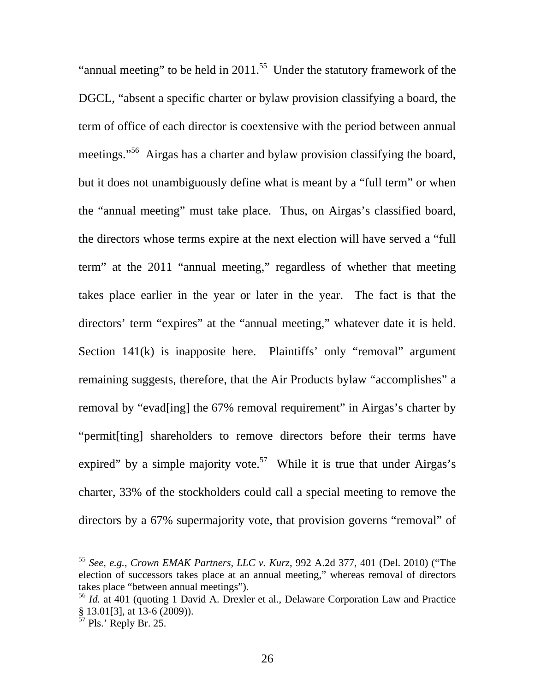"annual meeting" to be held in  $2011$ .<sup>55</sup> Under the statutory framework of the DGCL, "absent a specific charter or bylaw provision classifying a board, the term of office of each director is coextensive with the period between annual meetings."<sup>56</sup> Airgas has a charter and bylaw provision classifying the board, but it does not unambiguously define what is meant by a "full term" or when the "annual meeting" must take place. Thus, on Airgas's classified board, the directors whose terms expire at the next election will have served a "full term" at the 2011 "annual meeting," regardless of whether that meeting takes place earlier in the year or later in the year. The fact is that the directors' term "expires" at the "annual meeting," whatever date it is held. Section 141(k) is inapposite here. Plaintiffs' only "removal" argument remaining suggests, therefore, that the Air Products bylaw "accomplishes" a removal by "evad[ing] the 67% removal requirement" in Airgas's charter by "permit[ting] shareholders to remove directors before their terms have expired" by a simple majority vote.<sup>57</sup> While it is true that under Airgas's charter, 33% of the stockholders could call a special meeting to remove the directors by a 67% supermajority vote, that provision governs "removal" of

<sup>55</sup> *See, e.g.*, *Crown EMAK Partners, LLC v. Kurz*, 992 A.2d 377, 401 (Del. 2010) ("The election of successors takes place at an annual meeting," whereas removal of directors takes place "between annual meetings").

<sup>56</sup> *Id.* at 401 (quoting 1 David A. Drexler et al., Delaware Corporation Law and Practice § 13.01[3], at 13-6 (2009)).

 $57$  Pls.' Reply Br. 25.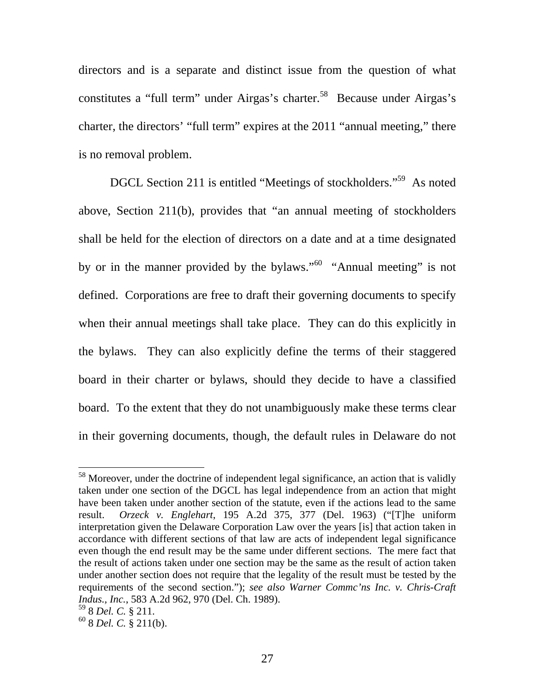directors and is a separate and distinct issue from the question of what constitutes a "full term" under Airgas's charter.<sup>58</sup> Because under Airgas's charter, the directors' "full term" expires at the 2011 "annual meeting," there is no removal problem.

DGCL Section 211 is entitled "Meetings of stockholders."<sup>59</sup> As noted above, Section 211(b), provides that "an annual meeting of stockholders shall be held for the election of directors on a date and at a time designated by or in the manner provided by the bylaws."<sup>60</sup> "Annual meeting" is not defined. Corporations are free to draft their governing documents to specify when their annual meetings shall take place. They can do this explicitly in the bylaws. They can also explicitly define the terms of their staggered board in their charter or bylaws, should they decide to have a classified board. To the extent that they do not unambiguously make these terms clear in their governing documents, though, the default rules in Delaware do not

 $58$  Moreover, under the doctrine of independent legal significance, an action that is validly taken under one section of the DGCL has legal independence from an action that might have been taken under another section of the statute, even if the actions lead to the same result. *Orzeck v. Englehart*, 195 A.2d 375, 377 (Del. 1963) ("[T]he uniform interpretation given the Delaware Corporation Law over the years [is] that action taken in accordance with different sections of that law are acts of independent legal significance even though the end result may be the same under different sections. The mere fact that the result of actions taken under one section may be the same as the result of action taken under another section does not require that the legality of the result must be tested by the requirements of the second section."); *see also Warner Commc'ns Inc. v. Chris-Craft Indus., Inc.*, 583 A.2d 962, 970 (Del. Ch. 1989).

<sup>59 8</sup> *Del. C.* § 211.

<sup>60 8</sup> *Del. C.* § 211(b).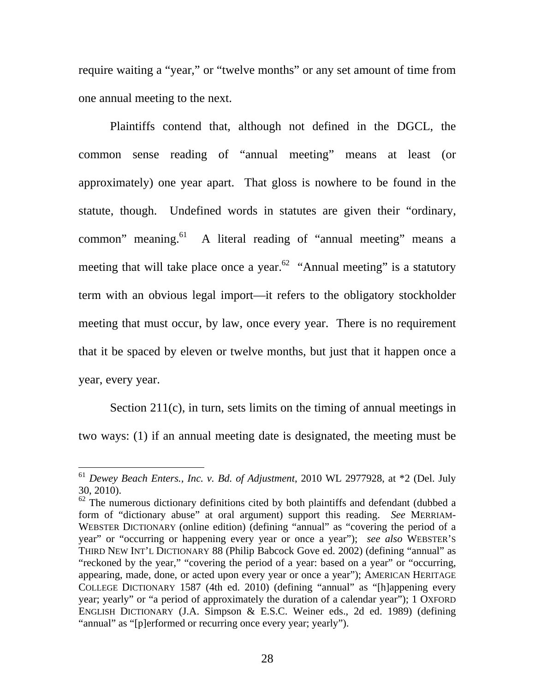require waiting a "year," or "twelve months" or any set amount of time from one annual meeting to the next.

Plaintiffs contend that, although not defined in the DGCL, the common sense reading of "annual meeting" means at least (or approximately) one year apart. That gloss is nowhere to be found in the statute, though. Undefined words in statutes are given their "ordinary, common" meaning.<sup>61</sup> A literal reading of "annual meeting" means a meeting that will take place once a year.<sup>62</sup> "Annual meeting" is a statutory term with an obvious legal import—it refers to the obligatory stockholder meeting that must occur, by law, once every year. There is no requirement that it be spaced by eleven or twelve months, but just that it happen once a year, every year.

Section 211(c), in turn, sets limits on the timing of annual meetings in two ways: (1) if an annual meeting date is designated, the meeting must be

<sup>61</sup> *Dewey Beach Enters., Inc. v. Bd. of Adjustment*, 2010 WL 2977928, at \*2 (Del. July 30, 2010).

 $62$  The numerous dictionary definitions cited by both plaintiffs and defendant (dubbed a form of "dictionary abuse" at oral argument) support this reading. *See* MERRIAM-WEBSTER DICTIONARY (online edition) (defining "annual" as "covering the period of a year" or "occurring or happening every year or once a year"); *see also* WEBSTER'S THIRD NEW INT'L DICTIONARY 88 (Philip Babcock Gove ed. 2002) (defining "annual" as "reckoned by the year," "covering the period of a year: based on a year" or "occurring, appearing, made, done, or acted upon every year or once a year"); AMERICAN HERITAGE COLLEGE DICTIONARY 1587 (4th ed. 2010) (defining "annual" as "[h]appening every year; yearly" or "a period of approximately the duration of a calendar year"); 1 OXFORD ENGLISH DICTIONARY (J.A. Simpson & E.S.C. Weiner eds., 2d ed. 1989) (defining "annual" as "[p]erformed or recurring once every year; yearly").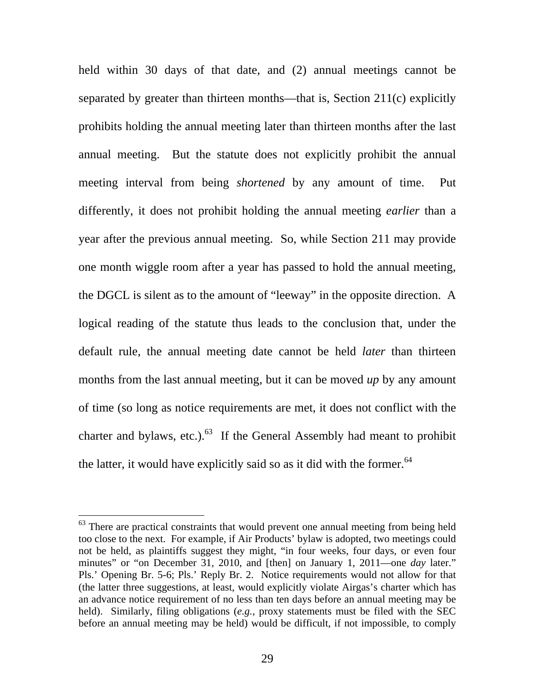held within 30 days of that date, and (2) annual meetings cannot be separated by greater than thirteen months—that is, Section 211(c) explicitly prohibits holding the annual meeting later than thirteen months after the last annual meeting. But the statute does not explicitly prohibit the annual meeting interval from being *shortened* by any amount of time. Put differently, it does not prohibit holding the annual meeting *earlier* than a year after the previous annual meeting. So, while Section 211 may provide one month wiggle room after a year has passed to hold the annual meeting, the DGCL is silent as to the amount of "leeway" in the opposite direction. A logical reading of the statute thus leads to the conclusion that, under the default rule, the annual meeting date cannot be held *later* than thirteen months from the last annual meeting, but it can be moved *up* by any amount of time (so long as notice requirements are met, it does not conflict with the charter and bylaws, etc.). $^{63}$  If the General Assembly had meant to prohibit the latter, it would have explicitly said so as it did with the former.  $64$ 

 $63$  There are practical constraints that would prevent one annual meeting from being held too close to the next. For example, if Air Products' bylaw is adopted, two meetings could not be held, as plaintiffs suggest they might, "in four weeks, four days, or even four minutes" or "on December 31, 2010, and [then] on January 1, 2011—one *day* later." Pls.' Opening Br. 5-6; Pls.' Reply Br. 2. Notice requirements would not allow for that (the latter three suggestions, at least, would explicitly violate Airgas's charter which has an advance notice requirement of no less than ten days before an annual meeting may be held). Similarly, filing obligations (*e.g.*, proxy statements must be filed with the SEC before an annual meeting may be held) would be difficult, if not impossible, to comply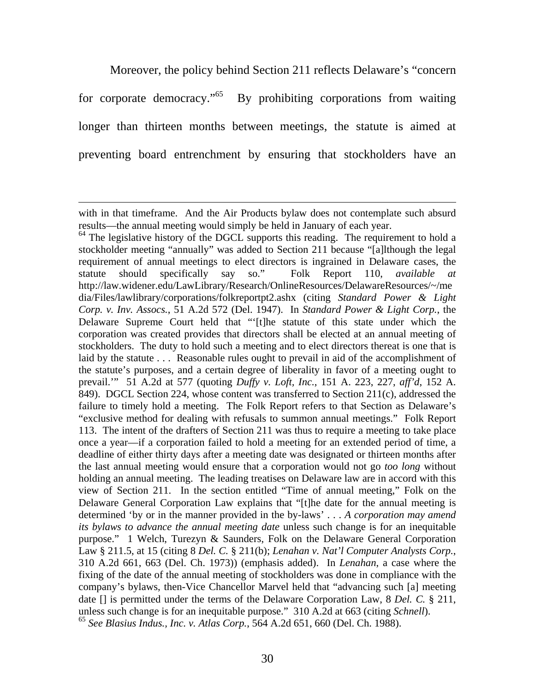Moreover, the policy behind Section 211 reflects Delaware's "concern

for corporate democracy."<sup>65</sup> By prohibiting corporations from waiting longer than thirteen months between meetings, the statute is aimed at preventing board entrenchment by ensuring that stockholders have an

with in that timeframe. And the Air Products bylaw does not contemplate such absurd results—the annual meeting would simply be held in January of each year.

 $64$  The legislative history of the DGCL supports this reading. The requirement to hold a stockholder meeting "annually" was added to Section 211 because "[a]lthough the legal requirement of annual meetings to elect directors is ingrained in Delaware cases, the statute should specifically say so." Folk Report 110, *available at* http://law.widener.edu/LawLibrary/Research/OnlineResources/DelawareResources/~/me dia/Files/lawlibrary/corporations/folkreportpt2.ashx (citing *Standard Power & Light Corp. v. Inv. Assocs.*, 51 A.2d 572 (Del. 1947). In *Standard Power & Light Corp.*, the Delaware Supreme Court held that "'[t]he statute of this state under which the corporation was created provides that directors shall be elected at an annual meeting of stockholders. The duty to hold such a meeting and to elect directors thereat is one that is laid by the statute . . . Reasonable rules ought to prevail in aid of the accomplishment of the statute's purposes, and a certain degree of liberality in favor of a meeting ought to prevail.'" 51 A.2d at 577 (quoting *Duffy v. Loft, Inc.*, 151 A. 223, 227, *aff'd*, 152 A. 849). DGCL Section 224, whose content was transferred to Section 211(c), addressed the failure to timely hold a meeting. The Folk Report refers to that Section as Delaware's "exclusive method for dealing with refusals to summon annual meetings." Folk Report 113. The intent of the drafters of Section 211 was thus to require a meeting to take place once a year—if a corporation failed to hold a meeting for an extended period of time, a deadline of either thirty days after a meeting date was designated or thirteen months after the last annual meeting would ensure that a corporation would not go *too long* without holding an annual meeting. The leading treatises on Delaware law are in accord with this view of Section 211. In the section entitled "Time of annual meeting," Folk on the Delaware General Corporation Law explains that "[t]he date for the annual meeting is determined 'by or in the manner provided in the by-laws' . . . *A corporation may amend its bylaws to advance the annual meeting date* unless such change is for an inequitable purpose." 1 Welch, Turezyn & Saunders, Folk on the Delaware General Corporation Law § 211.5, at 15 (citing 8 *Del. C.* § 211(b); *Lenahan v. Nat'l Computer Analysts Corp.*, 310 A.2d 661, 663 (Del. Ch. 1973)) (emphasis added). In *Lenahan*, a case where the fixing of the date of the annual meeting of stockholders was done in compliance with the company's bylaws, then-Vice Chancellor Marvel held that "advancing such [a] meeting date [] is permitted under the terms of the Delaware Corporation Law, 8 *Del. C.* § 211, unless such change is for an inequitable purpose." 310 A.2d at 663 (citing *Schnell*). <sup>65</sup> *See Blasius Indus., Inc. v. Atlas Corp.*, 564 A.2d 651, 660 (Del. Ch. 1988).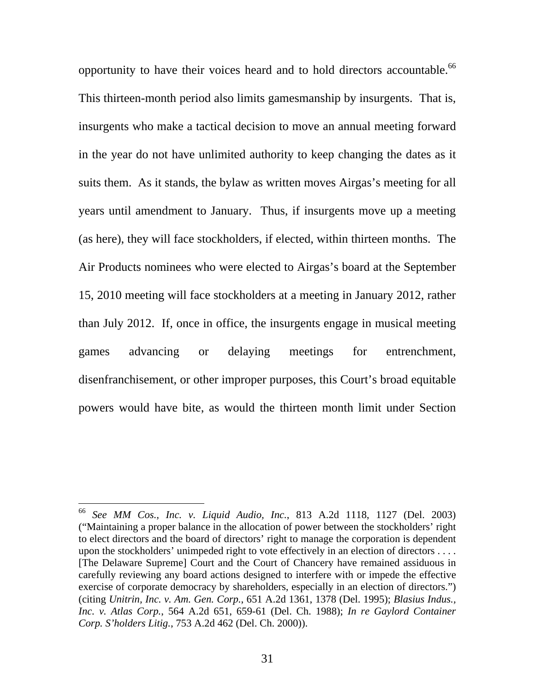opportunity to have their voices heard and to hold directors accountable.<sup>66</sup> This thirteen-month period also limits gamesmanship by insurgents. That is, insurgents who make a tactical decision to move an annual meeting forward in the year do not have unlimited authority to keep changing the dates as it suits them. As it stands, the bylaw as written moves Airgas's meeting for all years until amendment to January. Thus, if insurgents move up a meeting (as here), they will face stockholders, if elected, within thirteen months. The Air Products nominees who were elected to Airgas's board at the September 15, 2010 meeting will face stockholders at a meeting in January 2012, rather than July 2012. If, once in office, the insurgents engage in musical meeting games advancing or delaying meetings for entrenchment, disenfranchisement, or other improper purposes, this Court's broad equitable powers would have bite, as would the thirteen month limit under Section

<sup>66</sup> *See MM Cos., Inc. v. Liquid Audio, Inc.*, 813 A.2d 1118, 1127 (Del. 2003) ("Maintaining a proper balance in the allocation of power between the stockholders' right to elect directors and the board of directors' right to manage the corporation is dependent upon the stockholders' unimpeded right to vote effectively in an election of directors . . . . [The Delaware Supreme] Court and the Court of Chancery have remained assiduous in carefully reviewing any board actions designed to interfere with or impede the effective exercise of corporate democracy by shareholders, especially in an election of directors.") (citing *Unitrin, Inc. v. Am. Gen. Corp.*, 651 A.2d 1361, 1378 (Del. 1995); *Blasius Indus., Inc. v. Atlas Corp.*, 564 A.2d 651, 659-61 (Del. Ch. 1988); *In re Gaylord Container Corp. S'holders Litig.*, 753 A.2d 462 (Del. Ch. 2000)).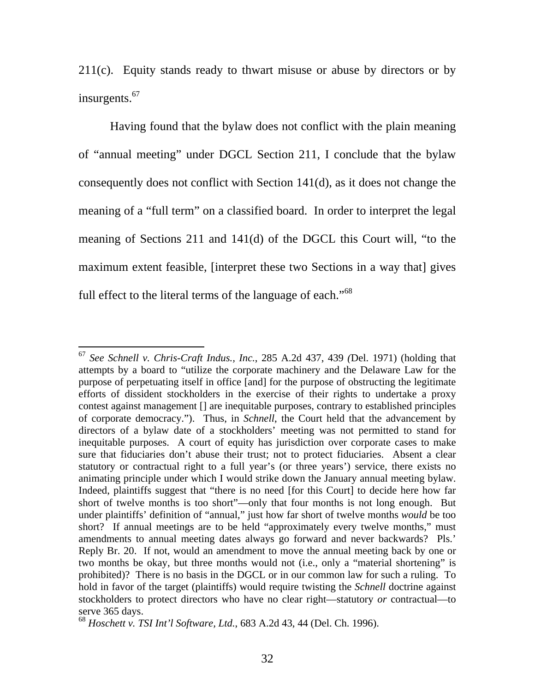211(c). Equity stands ready to thwart misuse or abuse by directors or by insurgents.<sup>67</sup>

Having found that the bylaw does not conflict with the plain meaning of "annual meeting" under DGCL Section 211, I conclude that the bylaw consequently does not conflict with Section 141(d), as it does not change the meaning of a "full term" on a classified board. In order to interpret the legal meaning of Sections 211 and 141(d) of the DGCL this Court will, "to the maximum extent feasible, [interpret these two Sections in a way that] gives full effect to the literal terms of the language of each."<sup>68</sup>

<sup>67</sup> *See Schnell v. Chris-Craft Indus., Inc.*, 285 A.2d 437, 439 *(*Del. 1971) (holding that attempts by a board to "utilize the corporate machinery and the Delaware Law for the purpose of perpetuating itself in office [and] for the purpose of obstructing the legitimate efforts of dissident stockholders in the exercise of their rights to undertake a proxy contest against management [] are inequitable purposes, contrary to established principles of corporate democracy."). Thus, in *Schnell*, the Court held that the advancement by directors of a bylaw date of a stockholders' meeting was not permitted to stand for inequitable purposes. A court of equity has jurisdiction over corporate cases to make sure that fiduciaries don't abuse their trust; not to protect fiduciaries. Absent a clear statutory or contractual right to a full year's (or three years') service, there exists no animating principle under which I would strike down the January annual meeting bylaw. Indeed, plaintiffs suggest that "there is no need [for this Court] to decide here how far short of twelve months is too short"—only that four months is not long enough. But under plaintiffs' definition of "annual," just how far short of twelve months *would* be too short? If annual meetings are to be held "approximately every twelve months," must amendments to annual meeting dates always go forward and never backwards? Pls.' Reply Br. 20. If not, would an amendment to move the annual meeting back by one or two months be okay, but three months would not (i.e., only a "material shortening" is prohibited)? There is no basis in the DGCL or in our common law for such a ruling. To hold in favor of the target (plaintiffs) would require twisting the *Schnell* doctrine against stockholders to protect directors who have no clear right—statutory *or* contractual—to serve 365 days.

<sup>68</sup> *Hoschett v. TSI Int'l Software, Ltd.*, 683 A.2d 43, 44 (Del. Ch. 1996).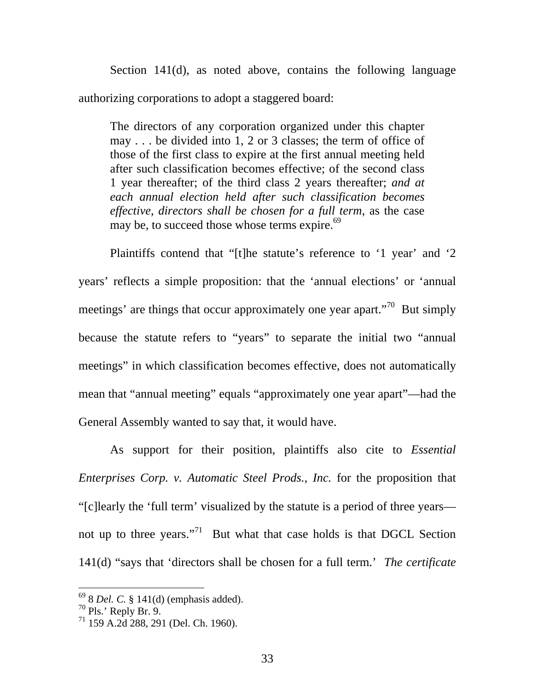Section 141(d), as noted above, contains the following language authorizing corporations to adopt a staggered board:

The directors of any corporation organized under this chapter may . . . be divided into 1, 2 or 3 classes; the term of office of those of the first class to expire at the first annual meeting held after such classification becomes effective; of the second class 1 year thereafter; of the third class 2 years thereafter; *and at each annual election held after such classification becomes effective, directors shall be chosen for a full term*, as the case may be, to succeed those whose terms expire.<sup>69</sup>

Plaintiffs contend that "[t]he statute's reference to '1 year' and '2 years' reflects a simple proposition: that the 'annual elections' or 'annual meetings' are things that occur approximately one year apart."<sup>70</sup> But simply because the statute refers to "years" to separate the initial two "annual meetings" in which classification becomes effective, does not automatically mean that "annual meeting" equals "approximately one year apart"—had the General Assembly wanted to say that, it would have.

As support for their position, plaintiffs also cite to *Essential Enterprises Corp. v. Automatic Steel Prods., Inc.* for the proposition that "[c]learly the 'full term' visualized by the statute is a period of three years not up to three years."71 But what that case holds is that DGCL Section 141(d) "says that 'directors shall be chosen for a full term.' *The certificate* 

<sup>69 8</sup> *Del. C.* § 141(d) (emphasis added).

 $^{70}$  Pls.' Reply Br. 9.

<sup>71 159</sup> A.2d 288, 291 (Del. Ch. 1960).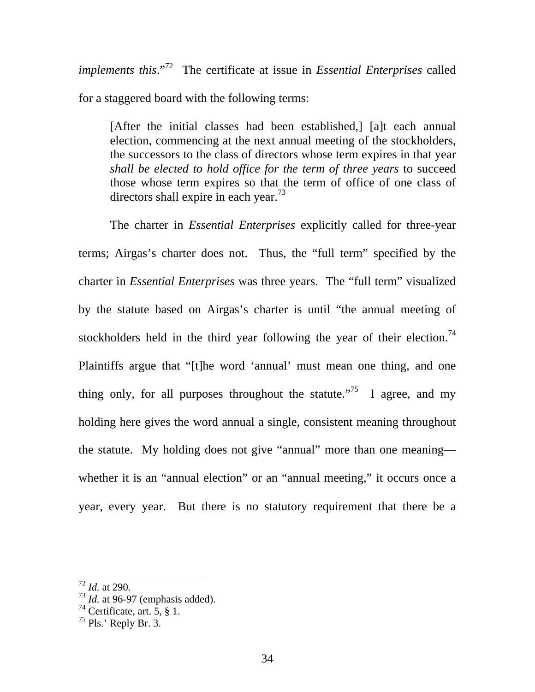*implements this*."72 The certificate at issue in *Essential Enterprises* called for a staggered board with the following terms:

[After the initial classes had been established,] [a]t each annual election, commencing at the next annual meeting of the stockholders, the successors to the class of directors whose term expires in that year *shall be elected to hold office for the term of three years* to succeed those whose term expires so that the term of office of one class of directors shall expire in each year.<sup>73</sup>

The charter in *Essential Enterprises* explicitly called for three-year terms; Airgas's charter does not. Thus, the "full term" specified by the charter in *Essential Enterprises* was three years. The "full term" visualized by the statute based on Airgas's charter is until "the annual meeting of stockholders held in the third year following the year of their election.<sup>74</sup> Plaintiffs argue that "[t]he word 'annual' must mean one thing, and one thing only, for all purposes throughout the statute.<sup>75</sup> I agree, and my holding here gives the word annual a single, consistent meaning throughout the statute. My holding does not give "annual" more than one meaning whether it is an "annual election" or an "annual meeting," it occurs once a year, every year. But there is no statutory requirement that there be a

<sup>72</sup> *Id.* at 290.

<sup>73</sup> *Id.* at 96-97 (emphasis added).

 $74$  Certificate, art. 5, 8 1.

 $^{75}$  Pls.' Reply Br. 3.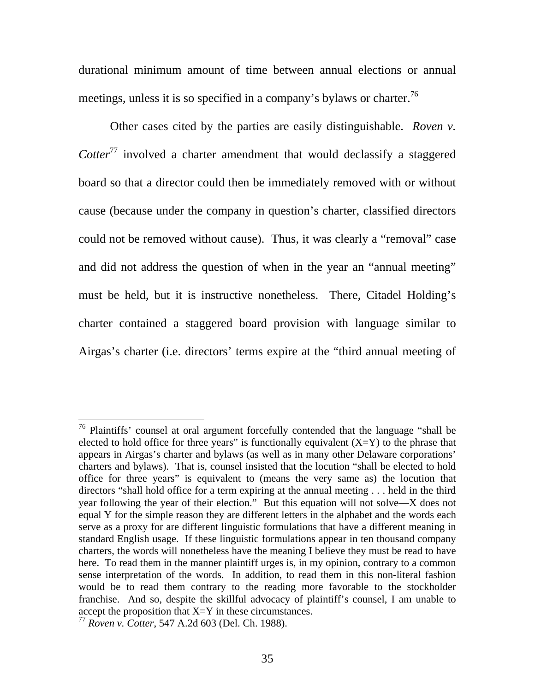durational minimum amount of time between annual elections or annual meetings, unless it is so specified in a company's bylaws or charter.<sup>76</sup>

Other cases cited by the parties are easily distinguishable. *Roven v. Cotter*<sup>77</sup> involved a charter amendment that would declassify a staggered board so that a director could then be immediately removed with or without cause (because under the company in question's charter, classified directors could not be removed without cause). Thus, it was clearly a "removal" case and did not address the question of when in the year an "annual meeting" must be held, but it is instructive nonetheless. There, Citadel Holding's charter contained a staggered board provision with language similar to Airgas's charter (i.e. directors' terms expire at the "third annual meeting of

 $76$  Plaintiffs' counsel at oral argument forcefully contended that the language "shall be elected to hold office for three years" is functionally equivalent  $(X=Y)$  to the phrase that appears in Airgas's charter and bylaws (as well as in many other Delaware corporations' charters and bylaws). That is, counsel insisted that the locution "shall be elected to hold office for three years" is equivalent to (means the very same as) the locution that directors "shall hold office for a term expiring at the annual meeting . . . held in the third year following the year of their election." But this equation will not solve—X does not equal Y for the simple reason they are different letters in the alphabet and the words each serve as a proxy for are different linguistic formulations that have a different meaning in standard English usage. If these linguistic formulations appear in ten thousand company charters, the words will nonetheless have the meaning I believe they must be read to have here. To read them in the manner plaintiff urges is, in my opinion, contrary to a common sense interpretation of the words. In addition, to read them in this non-literal fashion would be to read them contrary to the reading more favorable to the stockholder franchise. And so, despite the skillful advocacy of plaintiff's counsel, I am unable to accept the proposition that  $X = Y$  in these circumstances.

<sup>77</sup> *Roven v. Cotter*, 547 A.2d 603 (Del. Ch. 1988).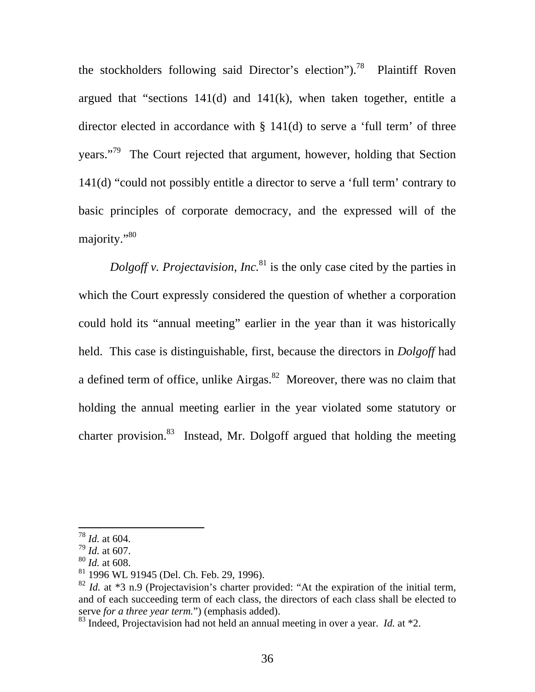the stockholders following said Director's election").<sup>78</sup> Plaintiff Roven argued that "sections  $141(d)$  and  $141(k)$ , when taken together, entitle a director elected in accordance with § 141(d) to serve a 'full term' of three years."79 The Court rejected that argument, however, holding that Section 141(d) "could not possibly entitle a director to serve a 'full term' contrary to basic principles of corporate democracy, and the expressed will of the majority."80

*Dolgoff v. Projectavision, Inc.*<sup>81</sup> is the only case cited by the parties in which the Court expressly considered the question of whether a corporation could hold its "annual meeting" earlier in the year than it was historically held. This case is distinguishable, first, because the directors in *Dolgoff* had a defined term of office, unlike Airgas. $82$  Moreover, there was no claim that holding the annual meeting earlier in the year violated some statutory or charter provision.<sup>83</sup> Instead, Mr. Dolgoff argued that holding the meeting

<sup>78</sup> *Id.* at 604.

<sup>79</sup> *Id.* at 607.

<sup>80</sup> *Id.* at 608.

<sup>81 1996</sup> WL 91945 (Del. Ch. Feb. 29, 1996).

 $82$  *Id.* at  $*3$  n.9 (Projectavision's charter provided: "At the expiration of the initial term, and of each succeeding term of each class, the directors of each class shall be elected to serve *for a three year term.*") (emphasis added).

<sup>83</sup> Indeed, Projectavision had not held an annual meeting in over a year. *Id.* at \*2.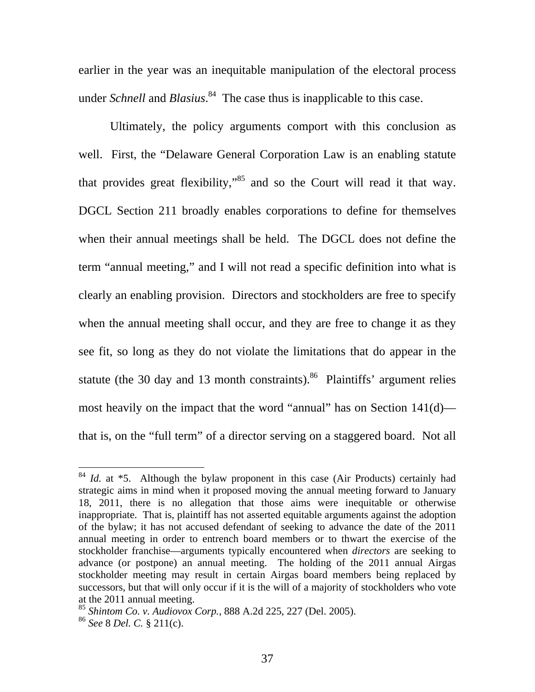earlier in the year was an inequitable manipulation of the electoral process under *Schnell* and *Blasius*. 84 The case thus is inapplicable to this case.

Ultimately, the policy arguments comport with this conclusion as well. First, the "Delaware General Corporation Law is an enabling statute that provides great flexibility,"<sup>85</sup> and so the Court will read it that way. DGCL Section 211 broadly enables corporations to define for themselves when their annual meetings shall be held. The DGCL does not define the term "annual meeting," and I will not read a specific definition into what is clearly an enabling provision. Directors and stockholders are free to specify when the annual meeting shall occur, and they are free to change it as they see fit, so long as they do not violate the limitations that do appear in the statute (the 30 day and 13 month constraints).<sup>86</sup> Plaintiffs' argument relies most heavily on the impact that the word "annual" has on Section 141(d) that is, on the "full term" of a director serving on a staggered board. Not all

<sup>&</sup>lt;sup>84</sup> *Id.* at \*5. Although the bylaw proponent in this case (Air Products) certainly had strategic aims in mind when it proposed moving the annual meeting forward to January 18, 2011, there is no allegation that those aims were inequitable or otherwise inappropriate. That is, plaintiff has not asserted equitable arguments against the adoption of the bylaw; it has not accused defendant of seeking to advance the date of the 2011 annual meeting in order to entrench board members or to thwart the exercise of the stockholder franchise—arguments typically encountered when *directors* are seeking to advance (or postpone) an annual meeting. The holding of the 2011 annual Airgas stockholder meeting may result in certain Airgas board members being replaced by successors, but that will only occur if it is the will of a majority of stockholders who vote at the 2011 annual meeting.

<sup>85</sup> *Shintom Co. v. Audiovox Corp.*, 888 A.2d 225, 227 (Del. 2005).

<sup>86</sup> *See* 8 *Del. C.* § 211(c).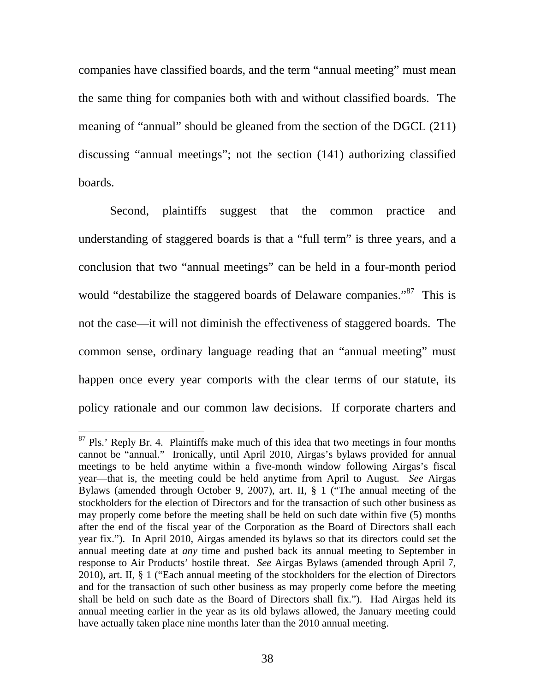companies have classified boards, and the term "annual meeting" must mean the same thing for companies both with and without classified boards. The meaning of "annual" should be gleaned from the section of the DGCL (211) discussing "annual meetings"; not the section (141) authorizing classified boards.

Second, plaintiffs suggest that the common practice and understanding of staggered boards is that a "full term" is three years, and a conclusion that two "annual meetings" can be held in a four-month period would "destabilize the staggered boards of Delaware companies."<sup>87</sup> This is not the case—it will not diminish the effectiveness of staggered boards. The common sense, ordinary language reading that an "annual meeting" must happen once every year comports with the clear terms of our statute, its policy rationale and our common law decisions. If corporate charters and

 $87$  Pls.' Reply Br. 4. Plaintiffs make much of this idea that two meetings in four months cannot be "annual." Ironically, until April 2010, Airgas's bylaws provided for annual meetings to be held anytime within a five-month window following Airgas's fiscal year—that is, the meeting could be held anytime from April to August. *See* Airgas Bylaws (amended through October 9, 2007), art. II, § 1 ("The annual meeting of the stockholders for the election of Directors and for the transaction of such other business as may properly come before the meeting shall be held on such date within five (5) months after the end of the fiscal year of the Corporation as the Board of Directors shall each year fix."). In April 2010, Airgas amended its bylaws so that its directors could set the annual meeting date at *any* time and pushed back its annual meeting to September in response to Air Products' hostile threat. *See* Airgas Bylaws (amended through April 7, 2010), art. II, § 1 ("Each annual meeting of the stockholders for the election of Directors and for the transaction of such other business as may properly come before the meeting shall be held on such date as the Board of Directors shall fix."). Had Airgas held its annual meeting earlier in the year as its old bylaws allowed, the January meeting could have actually taken place nine months later than the 2010 annual meeting.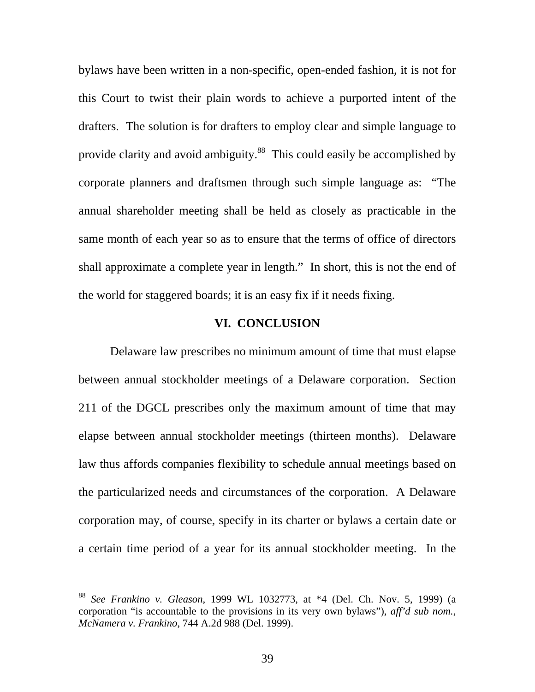bylaws have been written in a non-specific, open-ended fashion, it is not for this Court to twist their plain words to achieve a purported intent of the drafters. The solution is for drafters to employ clear and simple language to provide clarity and avoid ambiguity.<sup>88</sup> This could easily be accomplished by corporate planners and draftsmen through such simple language as: "The annual shareholder meeting shall be held as closely as practicable in the same month of each year so as to ensure that the terms of office of directors shall approximate a complete year in length." In short, this is not the end of the world for staggered boards; it is an easy fix if it needs fixing.

## **VI. CONCLUSION**

Delaware law prescribes no minimum amount of time that must elapse between annual stockholder meetings of a Delaware corporation. Section 211 of the DGCL prescribes only the maximum amount of time that may elapse between annual stockholder meetings (thirteen months). Delaware law thus affords companies flexibility to schedule annual meetings based on the particularized needs and circumstances of the corporation. A Delaware corporation may, of course, specify in its charter or bylaws a certain date or a certain time period of a year for its annual stockholder meeting. In the

<sup>88</sup> *See Frankino v. Gleason*, 1999 WL 1032773, at \*4 (Del. Ch. Nov. 5, 1999) (a corporation "is accountable to the provisions in its very own bylaws"), *aff'd sub nom.*, *McNamera v. Frankino*, 744 A.2d 988 (Del. 1999).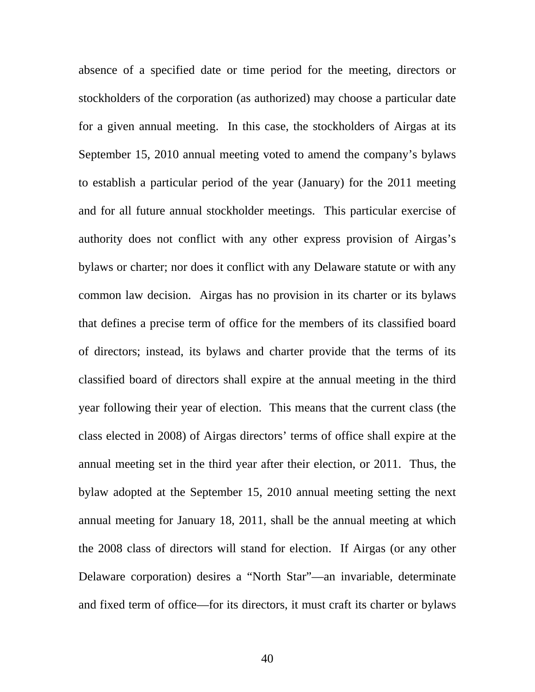absence of a specified date or time period for the meeting, directors or stockholders of the corporation (as authorized) may choose a particular date for a given annual meeting. In this case, the stockholders of Airgas at its September 15, 2010 annual meeting voted to amend the company's bylaws to establish a particular period of the year (January) for the 2011 meeting and for all future annual stockholder meetings. This particular exercise of authority does not conflict with any other express provision of Airgas's bylaws or charter; nor does it conflict with any Delaware statute or with any common law decision. Airgas has no provision in its charter or its bylaws that defines a precise term of office for the members of its classified board of directors; instead, its bylaws and charter provide that the terms of its classified board of directors shall expire at the annual meeting in the third year following their year of election. This means that the current class (the class elected in 2008) of Airgas directors' terms of office shall expire at the annual meeting set in the third year after their election, or 2011. Thus, the bylaw adopted at the September 15, 2010 annual meeting setting the next annual meeting for January 18, 2011, shall be the annual meeting at which the 2008 class of directors will stand for election. If Airgas (or any other Delaware corporation) desires a "North Star"—an invariable, determinate and fixed term of office—for its directors, it must craft its charter or bylaws